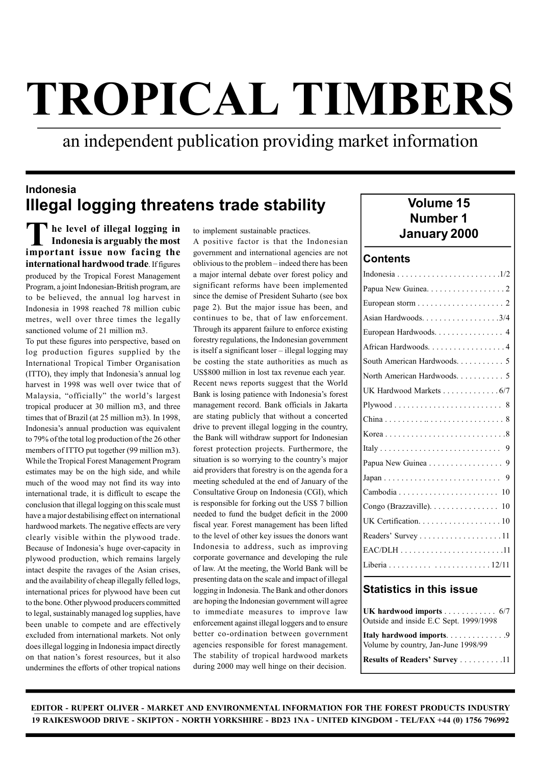an independent publication providing market information

#### Indonesia Illegal logging threatens trade stability

The level of illegal logging in to implement sustainable practices.<br>
Indonesia is arguably the most A positive factor is that the Indonesian<br>
important issue now focing the covernment and interactional scenairs are not Indonesia is arguably the most important issue now facing the international hardwood trade. If figures produced by the Tropical Forest Management Program, a joint Indonesian-British program, are to be believed, the annual log harvest in Indonesia in 1998 reached 78 million cubic metres, well over three times the legally sanctioned volume of 21 million m3.

To put these figures into perspective, based on log production figures supplied by the International Tropical Timber Organisation (ITTO), they imply that Indonesia's annual log harvest in 1998 was well over twice that of Malaysia, "officially" the world's largest tropical producer at 30 million m3, and three times that of Brazil (at 25 million m3). In 1998, Indonesia's annual production was equivalent to 79% of the total log production of the 26 other members of ITTO put together (99 million m3). While the Tropical Forest Management Program estimates may be on the high side, and while much of the wood may not find its way into international trade, it is difficult to escape the conclusion that illegal logging on this scale must have a major destabilising effect on international hardwood markets. The negative effects are very clearly visible within the plywood trade. Because of Indonesia's huge over-capacity in plywood production, which remains largely intact despite the ravages of the Asian crises, and the availability of cheap illegally felled logs, international prices for plywood have been cut to the bone. Other plywood producers committed to legal, sustainably managed log supplies, have been unable to compete and are effectively excluded from international markets. Not only does illegal logging in Indonesia impact directly on that nation's forest resources, but it also undermines the efforts of other tropical nations

to implement sustainable practices.

A positive factor is that the Indonesian government and international agencies are not oblivious to the problem – indeed there has been a major internal debate over forest policy and significant reforms have been implemented since the demise of President Suharto (see box page 2). But the major issue has been, and continues to be, that of law enforcement. Through its apparent failure to enforce existing forestry regulations, the Indonesian government is itself a significant loser – illegal logging may be costing the state authorities as much as US\$800 million in lost tax revenue each year. Recent news reports suggest that the World Bank is losing patience with Indonesia's forest management record. Bank officials in Jakarta are stating publicly that without a concerted drive to prevent illegal logging in the country, the Bank will withdraw support for Indonesian forest protection projects. Furthermore, the situation is so worrying to the country's major aid providers that forestry is on the agenda for a meeting scheduled at the end of January of the Consultative Group on Indonesia (CGI), which is responsible for forking out the US\$ 7 billion needed to fund the budget deficit in the 2000 fiscal year. Forest management has been lifted to the level of other key issues the donors want Indonesia to address, such as improving corporate governance and developing the rule of law. At the meeting, the World Bank will be presenting data on the scale and impact of illegal logging in Indonesia. The Bank and other donors are hoping the Indonesian government will agree to immediate measures to improve law enforcement against illegal loggers and to ensure better co-ordination between government agencies responsible for forest management. The stability of tropical hardwood markets during 2000 may well hinge on their decision.

# Volume 15 Number 1

#### **Contents**

| Papua New Guinea. 2         |
|-----------------------------|
|                             |
| Asian Hardwoods. 3/4        |
| European Hardwoods. 4       |
| African Hardwoods. 4        |
| South American Hardwoods. 5 |
| North American Hardwoods. 5 |
| UK Hardwood Markets 6/7     |
|                             |
|                             |
|                             |
|                             |
| Papua New Guinea 9          |
|                             |
|                             |
| Congo (Brazzaville). 10     |
|                             |
| Readers' Survey 11          |
|                             |
|                             |
| けいせいし けいせいせいけいし             |

#### Statistics in this issue

| UK hardwood imports 6/7<br>Outside and inside E.C Sept. 1999/1998 |  |
|-------------------------------------------------------------------|--|
| Volume by country, Jan-June 1998/99                               |  |
| <b>Results of Readers' Survey 11</b>                              |  |

EDITOR - RUPERT OLIVER - MARKET AND ENVIRONMENTAL INFORMATION FOR THE FOREST PRODUCTS INDUSTRY 19 RAIKESWOOD DRIVE - SKIPTON - NORTH YORKSHIRE - BD23 1NA - UNITED KINGDOM - TEL/FAX +44 (0) 1756 796992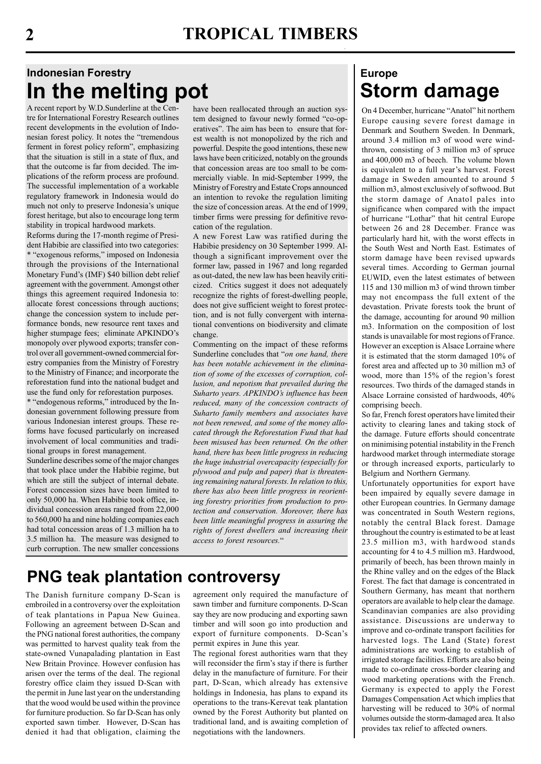# Indonesian Forestry In the melting pot

A recent report by W.D.Sunderline at the Centre for International Forestry Research outlines recent developments in the evolution of Indonesian forest policy. It notes the "tremendous ferment in forest policy reform", emphasizing that the situation is still in a state of flux, and that the outcome is far from decided. The implications of the reform process are profound. The successful implementation of a workable regulatory framework in Indonesia would do much not only to preserve Indonesia's unique forest heritage, but also to encourage long term stability in tropical hardwood markets.

Reforms during the 17-month regime of President Habibie are classified into two categories: \* "exogenous reforms," imposed on Indonesia through the provisions of the International Monetary Fund's (IMF) \$40 billion debt relief agreement with the government. Amongst other things this agreement required Indonesia to: allocate forest concessions through auctions; change the concession system to include performance bonds, new resource rent taxes and higher stumpage fees; eliminate APKINDO's monopoly over plywood exports; transfer control over all government-owned commercial forestry companies from the Ministry of Forestry to the Ministry of Finance; and incorporate the reforestation fund into the national budget and use the fund only for reforestation purposes.

\* "endogenous reforms," introduced by the Indonesian government following pressure from various Indonesian interest groups. These reforms have focused particularly on increased involvement of local communities and traditional groups in forest management.

Sunderline describes some of the major changes that took place under the Habibie regime, but which are still the subject of internal debate. Forest concession sizes have been limited to only 50,000 ha. When Habibie took office, individual concession areas ranged from 22,000 to 560,000 ha and nine holding companies each had total concession areas of 1.3 million ha to 3.5 million ha. The measure was designed to curb corruption. The new smaller concessions have been reallocated through an auction system designed to favour newly formed "co-operatives". The aim has been to ensure that forest wealth is not monopolized by the rich and powerful. Despite the good intentions, these new laws have been criticized, notably on the grounds that concession areas are too small to be commercially viable. In mid-September 1999, the Ministry of Forestry and Estate Crops announced an intention to revoke the regulation limiting the size of concession areas. At the end of 1999, timber firms were pressing for definitive revocation of the regulation.

A new Forest Law was ratified during the Habibie presidency on 30 September 1999. Although a significant improvement over the former law, passed in 1967 and long regarded as out-dated, the new law has been heavily criticized. Critics suggest it does not adequately recognize the rights of forest-dwelling people, does not give sufficient weight to forest protection, and is not fully convergent with international conventions on biodiversity and climate change.

Commenting on the impact of these reforms Sunderline concludes that "on one hand, there has been notable achievement in the elimination of some of the excesses of corruption, collusion, and nepotism that prevailed during the Suharto years. APKINDO's influence has been reduced, many of the concession contracts of Suharto family members and associates have not been renewed, and some of the money allocated through the Reforestation Fund that had been misused has been returned. On the other hand, there has been little progress in reducing the huge industrial overcapacity (especially for plywood and pulp and paper) that is threatening remaining natural forests. In relation to this, there has also been little progress in reorienting forestry priorities from production to protection and conservation. Moreover, there has been little meaningful progress in assuring the rights of forest dwellers and increasing their access to forest resources."

# PNG teak plantation controversy

The Danish furniture company D-Scan is embroiled in a controversy over the exploitation of teak plantations in Papua New Guinea. Following an agreement between D-Scan and the PNG national forest authorities, the company was permitted to harvest quality teak from the state-owned Vunapalading plantation in East New Britain Province. However confusion has arisen over the terms of the deal. The regional forestry office claim they issued D-Scan with the permit in June last year on the understanding that the wood would be used within the province for furniture production. So far D-Scan has only exported sawn timber. However, D-Scan has denied it had that obligation, claiming the

agreement only required the manufacture of sawn timber and furniture components. D-Scan say they are now producing and exporting sawn timber and will soon go into production and export of furniture components. D-Scan's permit expires in June this year.

The regional forest authorities warn that they will reconsider the firm's stay if there is further delay in the manufacture of furniture. For their part, D-Scan, which already has extensive holdings in Indonesia, has plans to expand its operations to the trans-Kerevat teak plantation owned by the Forest Authority but planted on traditional land, and is awaiting completion of negotiations with the landowners.

# Europe Storm damage

On 4 December, hurricane "Anatol" hit northern Europe causing severe forest damage in Denmark and Southern Sweden. In Denmark, around 3.4 million m3 of wood were windthrown, consisting of 3 million m3 of spruce and 400,000 m3 of beech. The volume blown is equivalent to a full year's harvest. Forest damage in Sweden amounted to around 5 million m3, almost exclusively of softwood. But the storm damage of Anatol pales into significance when compared with the impact of hurricane "Lothar" that hit central Europe between 26 and 28 December. France was particularly hard hit, with the worst effects in the South West and North East. Estimates of storm damage have been revised upwards several times. According to German journal EUWID, even the latest estimates of between 115 and 130 million m3 of wind thrown timber may not encompass the full extent of the devastation. Private forests took the brunt of the damage, accounting for around 90 million m3. Information on the composition of lost stands is unavailable for most regions of France. However an exception is Alsace Lorraine where it is estimated that the storm damaged 10% of forest area and affected up to 30 million m3 of wood, more than 15% of the region's forest resources. Two thirds of the damaged stands in Alsace Lorraine consisted of hardwoods, 40% comprising beech.

So far, French forest operators have limited their activity to clearing lanes and taking stock of the damage. Future efforts should concentrate on minimising potential instability in the French hardwood market through intermediate storage or through increased exports, particularly to Belgium and Northern Germany.

Unfortunately opportunities for export have been impaired by equally severe damage in other European countries. In Germany damage was concentrated in South Western regions, notably the central Black forest. Damage throughout the country is estimated to be at least 23.5 million m3, with hardwood stands accounting for 4 to 4.5 million m3. Hardwood, primarily of beech, has been thrown mainly in the Rhine valley and on the edges of the Black Forest. The fact that damage is concentrated in Southern Germany, has meant that northern operators are available to help clear the damage. Scandinavian companies are also providing assistance. Discussions are underway to improve and co-ordinate transport facilities for harvested logs. The Land (State) forest administrations are working to establish of irrigated storage facilities. Efforts are also being made to co-ordinate cross-border clearing and wood marketing operations with the French. Germany is expected to apply the Forest Damages Compensation Act which implies that harvesting will be reduced to 30% of normal volumes outside the storm-damaged area. It also provides tax relief to affected owners.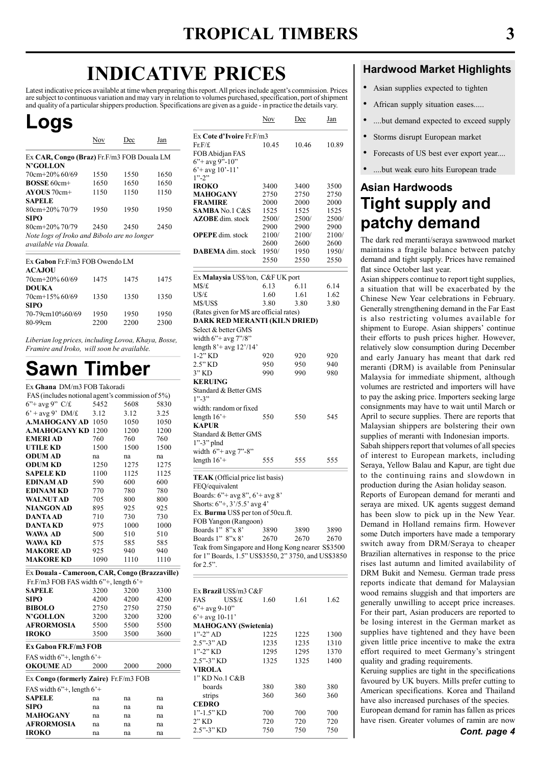# INDICATIVE PRICES

Latest indicative prices available at time when preparing this report. All prices include agent's commission. Prices are subject to continuous variation and may vary in relation to volumes purchased, specification, port of shipment and quality of a particular shippers production. Specifications are given as a guide - in practice the details vary.

# Logs

|                                             | Nov  | Dec  | Jan  |
|---------------------------------------------|------|------|------|
| Ex CAR, Congo (Braz) Fr.F/m3 FOB Douala LM  |      |      |      |
| <b>N'GOLLON</b>                             |      |      |      |
| $70cm + 20\%$ 60/69                         | 1550 | 1550 | 1650 |
| $ROSSE 60cm+$                               | 1650 | 1650 | 1650 |
| $AVOIIS 70cm+$                              | 1150 | 1150 | 1150 |
| <b>SAPELE</b>                               |      |      |      |
| $80cm + 20\%$ 70/79                         | 1950 | 1950 | 1950 |
| <b>SIPO</b>                                 |      |      |      |
| $80cm + 20\%$ 70/79                         | 2450 | 2450 | 2450 |
| Note logs of Iroko and Bibolo are no longer |      |      |      |
| available via Douala                        |      |      |      |
|                                             |      |      |      |

| Ex Gabon Fr.F/m3 FOB Owendo LM<br><b>ACAJOU</b>  |              |              |              |
|--------------------------------------------------|--------------|--------------|--------------|
| 70cm+20% 60/69                                   | 1475         | 1475         | 1475         |
| <b>DOUKA</b><br>$70cm+15\%$ 60/69<br><b>SIPO</b> | 1350         | 1350         | 1350         |
| 70-79cm10%60/69<br>80-99cm                       | 1950<br>2200 | 1950<br>2200 | 1950<br>2300 |

Liberian log prices, including Lovoa, Khaya, Bosse, Framire and Iroko, will soon be available.

# Sawn Timber

| Ex Ghana DM/m3 FOB Takoradi                                        |      |      |      |
|--------------------------------------------------------------------|------|------|------|
| FAS (includes notional agent's commission of 5%)                   |      |      |      |
| $6$ "+ avg 9" C/£                                                  | 5452 | 5608 | 5830 |
| $6'$ + avg 9' DM/£                                                 | 3.12 | 3.12 | 3.25 |
| <b>A.MAHOGANY AD 1050</b>                                          |      | 1050 | 1050 |
| <b>A.MAHOGANY KD 1200</b>                                          |      | 1200 | 1200 |
| <b>EMERIAD</b>                                                     | 760  | 760  | 760  |
| <b>UTILE KD</b>                                                    | 1500 | 1500 | 1500 |
| <b>ODUM AD</b>                                                     | na   | na   | na   |
| <b>ODUM KD</b>                                                     | 1250 | 1275 | 1275 |
| <b>SAPELE KD</b>                                                   | 1100 | 1125 | 1125 |
| <b>EDINAM AD</b>                                                   | 590  | 600  | 600  |
| <b>EDINAM KD</b>                                                   | 770  | 780  | 780  |
| <b>WALNUTAD</b>                                                    | 705  | 800  | 800  |
| <b>NIANGON AD</b>                                                  | 895  | 925  | 925  |
| <b>DANTA AD</b>                                                    | 710  | 730  | 730  |
| DANTA KD                                                           | 975  | 1000 | 1000 |
| WAWA AD                                                            | 500  | 510  | 510  |
| WAWA KD                                                            | 575  | 585  | 585  |
| <b>MAKORE AD</b>                                                   | 925  | 940  | 940  |
| <b>MAKORE KD</b>                                                   | 1090 | 1110 | 1110 |
| Ex Douala - Cameroon, CAR, Congo (Brazzaville)                     |      |      |      |
| Fr.F/m3 FOB FAS width $6$ <sup>*+</sup> , length $6$ <sup>*+</sup> |      |      |      |
| SAPELE                                                             | 3200 | 3200 | 3300 |
| <b>SIPO</b>                                                        | 4200 | 4200 | 4200 |
| <b>BIBOLO</b>                                                      | 2750 | 2750 | 2750 |
| <b>N'GOLLON</b>                                                    | 3200 | 3200 | 3200 |
| <b>AFRORMOSIA</b>                                                  | 5500 | 5500 | 5500 |
| <b>IROKO</b>                                                       | 3500 | 3500 | 3600 |
| Ex Gabon FR.F/m3 FOB                                               |      |      |      |
| FAS width $6$ "+, length $6$ '+                                    |      |      |      |
| <b>OKOUME AD</b>                                                   | 2000 | 2000 | 2000 |
| Ex Congo (formerly Zaire) Fr.F/m3 FOB                              |      |      |      |
| FAS width $6$ "+, length $6$ '+                                    |      |      |      |
|                                                                    |      |      |      |
| <b>SAPELE</b>                                                      | na   | na   | na   |
| <b>SIPO</b>                                                        | na   | na   | na   |
| MAHOGANY                                                           | na   | na   | na   |
| AFRORMOSIA<br><b>IROKO</b>                                         | na   | na   | na   |
|                                                                    | na   | na   | na   |

|                                                                           | Nov                   | Dec                  | Jan                   |
|---------------------------------------------------------------------------|-----------------------|----------------------|-----------------------|
| Ex Cote d'Ivoire Fr.F/m3<br>Fr.F/f.<br>FOB Abidjan FAS                    | 10.45                 | 10.46                | 10.89                 |
| $6$ "+ avg 9"-10"<br>$6'$ + avg 10'-11'<br>$1" - 2"$                      |                       |                      |                       |
| <b>IROKO</b>                                                              | 3400                  | 3400                 | 3500                  |
| MAHOGANY                                                                  | 2750                  | 2750                 | 2750                  |
| <b>FRAMIRE</b><br><b>SAMBA</b> No.1 C&S                                   | 2000<br>1525          | 2000<br>1525         | 2000<br>1525          |
| <b>AZOBE</b> dim. stock                                                   | 2500/                 | 2500/                | 2500/                 |
|                                                                           | 2900                  | 2900                 | 2900                  |
| <b>OPEPE</b> dim. stock                                                   | 2100/                 | 2100/                | 2100/                 |
| <b>DABEMA</b> dim. stock                                                  | 2600<br>1950/<br>2550 | 2600<br>1950<br>2550 | 2600<br>1950/<br>2550 |
| Ex Malaysia US\$/ton, C&F UK port                                         |                       |                      |                       |
| M\$/£                                                                     | 6.13                  | 6.11                 | 6.14                  |
| U\$/£                                                                     | 1.60                  | 1.61                 | 1.62                  |
| M\$/US\$                                                                  | 3.80                  | 3.80                 | 3.80                  |
| (Rates given for M\$ are official rates)<br>DARK RED MERANTI (KILN DRIED) |                       |                      |                       |
| Select & better GMS<br>width 6"+ avg 7"/8"                                |                       |                      |                       |
| length $8'+$ avg $12'/14'$                                                |                       |                      |                       |
| $1-2"$ KD                                                                 | 920                   | 920                  | 920                   |
| 2.5" KD<br>3" KD                                                          | 950<br>990            | 950<br>990           | 940<br>980            |
| <b>KERUING</b><br>Standard & Better GMS<br>$1" - 3"$                      |                       |                      |                       |
| width: random or fixed<br>length $16$ <sup>+</sup>                        | 550                   | 550                  | 545                   |
| KAPUR                                                                     |                       |                      |                       |
| Standard & Better GMS<br>$1$ "-3" plnd                                    |                       |                      |                       |
| width $6"+avg 7" - 8"$<br>length $16'+$                                   | 555                   | 555                  | 555                   |
| TEAK (Official price list basis)                                          |                       |                      |                       |
| FEQ/equivalent                                                            |                       |                      |                       |
| Boards: 6"+ avg 8", 6'+ avg 8'                                            |                       |                      |                       |
| Shorts: $6''+$ , $3'/5.5'$ avg 4'                                         |                       |                      |                       |
| Ex. Burma US\$ per ton of 50cu.ft.                                        |                       |                      |                       |
| FOB Yangon (Rangoon)                                                      |                       |                      |                       |
| Boards 1" 8"x 8"                                                          | 3890                  | 3890                 | 3890                  |
| Boards 1" 8"x 8"<br>Teak from Singapore and Hong Kong nearer S\$3500      | 2670                  | 2670                 | 2670                  |
| for 1" Boards, 1.5" US\$3550, 2" 3750, and US\$3850                       |                       |                      |                       |
| for $2.5$ ".                                                              |                       |                      |                       |
|                                                                           |                       |                      |                       |
| Ex <b>Brazil</b> US\$/m3 C&F                                              |                       |                      |                       |
| FAS<br>USS/f                                                              | 1.60                  | 1.61                 | 1.62                  |
| $6'' + avg 9-10''$                                                        |                       |                      |                       |
| $6'$ + avg 10-11'                                                         |                       |                      |                       |
| <b>MAHOGANY</b> (Swietenia)                                               |                       |                      |                       |
| $1" - 2"$ AD                                                              | 1225                  | 1225                 | 1300                  |
| $2.5" - 3"$ AD<br>1"-2" KD                                                | 1235<br>1295          | 1235<br>1295         | 1310                  |
| 2.5"-3" KD                                                                | 1325                  | 1325                 | 1370<br>1400          |
| VIROLA                                                                    |                       |                      |                       |
| 1" KD No.1 C&B                                                            |                       |                      |                       |
| boards                                                                    | 380                   | 380                  | 380                   |
| strips                                                                    | 360                   | 360                  | 360                   |
| <b>CEDRO</b>                                                              |                       |                      |                       |
| $1"$ -1.5" KD<br>2" KD                                                    | 700<br>720            | 700<br>720           | 700<br>720            |
| 2.5"-3" KD                                                                | 750                   | 750                  | 750                   |
|                                                                           |                       |                      |                       |

#### Hardwood Market Highlights

- Asian supplies expected to tighten
- African supply situation eases.....
- ....but demand expected to exceed supply
- Storms disrupt European market
- Forecasts of US best ever export year....
- ....but weak euro hits European trade

### Asian Hardwoods Tight supply and patchy demand

The dark red meranti/seraya sawnwood market maintains a fragile balance between patchy demand and tight supply. Prices have remained flat since October last year.

Asian shippers continue to report tight supplies, a situation that will be exacerbated by the Chinese New Year celebrations in February. Generally strengthening demand in the Far East is also restricting volumes available for shipment to Europe. Asian shippers' continue their efforts to push prices higher. However, relatively slow consumption during December and early January has meant that dark red meranti (DRM) is available from Peninsular Malaysia for immediate shipment, although volumes are restricted and importers will have to pay the asking price. Importers seeking large consignments may have to wait until March or April to secure supplies. There are reports that Malaysian shippers are bolstering their own supplies of meranti with Indonesian imports.

Sabah shippers report that volumes of all species of interest to European markets, including Seraya, Yellow Balau and Kapur, are tight due to the continuing rains and slowdown in production during the Asian holiday season.

Reports of European demand for meranti and seraya are mixed. UK agents suggest demand has been slow to pick up in the New Year. Demand in Holland remains firm. However some Dutch importers have made a temporary switch away from DRM/Seraya to cheaper Brazilian alternatives in response to the price rises last autumn and limited availability of DRM Bukit and Nemesu. German trade press reports indicate that demand for Malaysian wood remains sluggish and that importers are generally unwilling to accept price increases. For their part, Asian producers are reported to be losing interest in the German market as supplies have tightened and they have been given little price incentive to make the extra effort required to meet Germany's stringent quality and grading requirements.

Keruing supplies are tight in the specifications favoured by UK buyers. Mills prefer cutting to American specifications. Korea and Thailand have also increased purchases of the species. European demand for ramin has fallen as prices

Cont. page 4 have risen. Greater volumes of ramin are now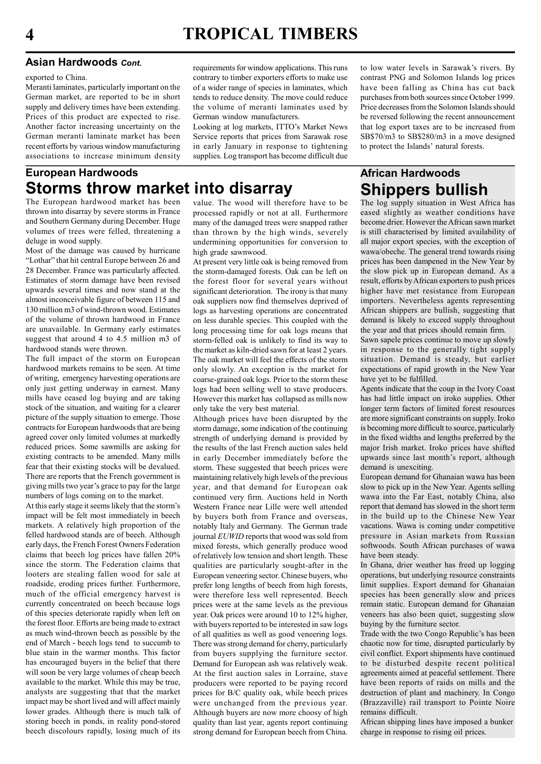#### Asian Hardwoods Cont.

exported to China.

Meranti laminates, particularly important on the German market, are reported to be in short supply and delivery times have been extending. Prices of this product are expected to rise. Another factor increasing uncertainty on the German meranti laminate market has been recent efforts by various window manufacturing associations to increase minimum density

#### European Hardwoods Storms throw market into disarray

The European hardwood market has been thrown into disarray by severe storms in France and Southern Germany during December. Huge volumes of trees were felled, threatening a deluge in wood supply.

Most of the damage was caused by hurricane "Lothar" that hit central Europe between 26 and 28 December. France was particularly affected. Estimates of storm damage have been revised upwards several times and now stand at the almost inconceivable figure of between 115 and 130 million m3 of wind-thrown wood. Estimates of the volume of thrown hardwood in France are unavailable. In Germany early estimates suggest that around 4 to 4.5 million m3 of hardwood stands were thrown.

The full impact of the storm on European hardwood markets remains to be seen. At time of writing, emergency harvesting operations are only just getting underway in earnest. Many mills have ceased log buying and are taking stock of the situation, and waiting for a clearer picture of the supply situation to emerge. Those contracts for European hardwoods that are being agreed cover only limited volumes at markedly reduced prices. Some sawmills are asking for existing contracts to be amended. Many mills fear that their existing stocks will be devalued. There are reports that the French government is giving mills two year's grace to pay for the large numbers of logs coming on to the market.

At this early stage it seems likely that the storm's impact will be felt most immediately in beech markets. A relatively high proportion of the felled hardwood stands are of beech. Although early days, the French Forest Owners Federation claims that beech log prices have fallen 20% since the storm. The Federation claims that looters are stealing fallen wood for sale at roadside, eroding prices further. Furthermore, much of the official emergency harvest is currently concentrated on beech because logs of this species deteriorate rapidly when left on the forest floor. Efforts are being made to extract as much wind-thrown beech as possible by the end of March - beech logs tend to succumb to blue stain in the warmer months. This factor has encouraged buyers in the belief that there will soon be very large volumes of cheap beech available to the market. While this may be true, analysts are suggesting that that the market impact may be short lived and will affect mainly lower grades. Although there is much talk of storing beech in ponds, in reality pond-stored beech discolours rapidly, losing much of its

requirements for window applications. This runs contrary to timber exporters efforts to make use of a wider range of species in laminates, which tends to reduce density. The move could reduce the volume of meranti laminates used by German window manufacturers.

Looking at log markets, ITTO's Market News Service reports that prices from Sarawak rose in early January in response to tightening supplies. Log transport has become difficult due

value. The wood will therefore have to be processed rapidly or not at all. Furthermore many of the damaged trees were snapped rather than thrown by the high winds, severely undermining opportunities for conversion to high grade sawnwood.

At present very little oak is being removed from the storm-damaged forests. Oak can be left on the forest floor for several years without significant deterioration. The irony is that many oak suppliers now find themselves deprived of logs as harvesting operations are concentrated on less durable species. This coupled with the long processing time for oak logs means that storm-felled oak is unlikely to find its way to the market as kiln-dried sawn for at least 2 years. The oak market will feel the effects of the storm only slowly. An exception is the market for coarse-grained oak logs. Prior to the storm these logs had been selling well to stave producers. However this market has collapsed as mills now only take the very best material.

Although prices have been disrupted by the storm damage, some indication of the continuing strength of underlying demand is provided by the results of the last French auction sales held in early December immediately before the storm. These suggested that beech prices were maintaining relatively high levels of the previous year, and that demand for European oak continued very firm. Auctions held in North Western France near Lille were well attended by buyers both from France and overseas, notably Italy and Germany. The German trade journal EUWID reports that wood was sold from mixed forests, which generally produce wood of relatively low tension and short length. These qualities are particularly sought-after in the European veneering sector. Chinese buyers, who prefer long lengths of beech from high forests, were therefore less well represented. Beech prices were at the same levels as the previous year. Oak prices were around 10 to 12% higher, with buyers reported to be interested in saw logs of all qualities as well as good veneering logs. There was strong demand for cherry, particularly from buyers supplying the furniture sector. Demand for European ash was relatively weak. At the first auction sales in Lorraine, stave producers were reported to be paying record prices for B/C quality oak, while beech prices were unchanged from the previous year. Although buyers are now more choosy of high quality than last year, agents report continuing strong demand for European beech from China. to low water levels in Sarawak's rivers. By contrast PNG and Solomon Islands log prices have been falling as China has cut back purchases from both sources since October 1999. Price decreases from the Solomon Islands should be reversed following the recent announcement that log export taxes are to be increased from SB\$70/m3 to SB\$280/m3 in a move designed to protect the Islands' natural forests.

#### African Hardwoods Shippers bullish

The log supply situation in West Africa has eased slightly as weather conditions have become drier. However the African sawn market is still characterised by limited availability of all major export species, with the exception of wawa/obeche. The general trend towards rising prices has been dampened in the New Year by the slow pick up in European demand. As a result, efforts by African exporters to push prices higher have met resistance from European importers. Nevertheless agents representing African shippers are bullish, suggesting that demand is likely to exceed supply throughout the year and that prices should remain firm.

Sawn sapele prices continue to move up slowly in response to the generally tight supply situation. Demand is steady, but earlier expectations of rapid growth in the New Year have yet to be fulfilled.

Agents indicate that the coup in the Ivory Coast has had little impact on iroko supplies. Other longer term factors of limited forest resources are more significant constraints on supply. Iroko is becoming more difficult to source, particularly in the fixed widths and lengths preferred by the major Irish market. Iroko prices have shifted upwards since last month's report, although demand is unexciting.

European demand for Ghanaian wawa has been slow to pick up in the New Year. Agents selling wawa into the Far East, notably China, also report that demand has slowed in the short term in the build up to the Chinese New Year vacations. Wawa is coming under competitive pressure in Asian markets from Russian softwoods. South African purchases of wawa have been steady.

In Ghana, drier weather has freed up logging operations, but underlying resource constraints limit supplies. Export demand for Ghanaian species has been generally slow and prices remain static. European demand for Ghanaian veneers has also been quiet, suggesting slow buying by the furniture sector.

Trade with the two Congo Republic's has been chaotic now for time, disrupted particularly by civil conflict. Export shipments have continued to be disturbed despite recent political agreements aimed at peaceful settlement. There have been reports of raids on mills and the destruction of plant and machinery. In Congo (Brazzaville) rail transport to Pointe Noire remains difficult.

African shipping lines have imposed a bunker charge in response to rising oil prices.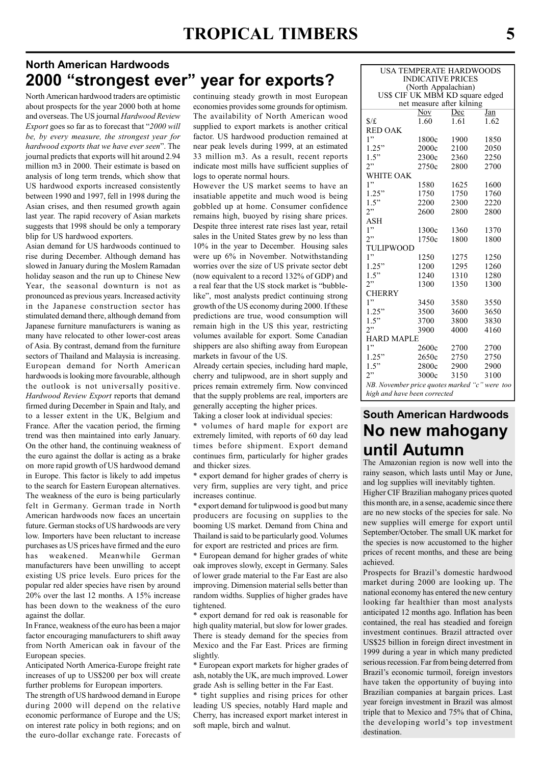#### North American Hardwoods 2000 "strongest ever" year for exports?

North American hardwood traders are optimistic about prospects for the year 2000 both at home and overseas. The US journal Hardwood Review Export goes so far as to forecast that "2000 will be, by every measure, the strongest year for hardwood exports that we have ever seen". The journal predicts that exports will hit around 2.94 million m3 in 2000. Their estimate is based on analysis of long term trends, which show that US hardwood exports increased consistently between 1990 and 1997, fell in 1998 during the Asian crises, and then resumed growth again last year. The rapid recovery of Asian markets suggests that 1998 should be only a temporary blip for US hardwood exporters.

Asian demand for US hardwoods continued to rise during December. Although demand has slowed in January during the Moslem Ramadan holiday season and the run up to Chinese New Year, the seasonal downturn is not as pronounced as previous years. Increased activity in the Japanese construction sector has stimulated demand there, although demand from Japanese furniture manufacturers is waning as many have relocated to other lower-cost areas of Asia. By contrast, demand from the furniture sectors of Thailand and Malaysia is increasing. European demand for North American hardwoods is looking more favourable, although the outlook is not universally positive. Hardwood Review Export reports that demand firmed during December in Spain and Italy, and to a lesser extent in the UK, Belgium and France. After the vacation period, the firming trend was then maintained into early January. On the other hand, the continuing weakness of the euro against the dollar is acting as a brake on more rapid growth of US hardwood demand in Europe. This factor is likely to add impetus to the search for Eastern European alternatives. The weakness of the euro is being particularly felt in Germany. German trade in North American hardwoods now faces an uncertain future. German stocks of US hardwoods are very low. Importers have been reluctant to increase purchases as US prices have firmed and the euro has weakened. Meanwhile German manufacturers have been unwilling to accept existing US price levels. Euro prices for the popular red alder species have risen by around 20% over the last 12 months. A 15% increase has been down to the weakness of the euro against the dollar.

In France, weakness of the euro has been a major factor encouraging manufacturers to shift away from North American oak in favour of the European species.

Anticipated North America-Europe freight rate increases of up to US\$200 per box will create further problems for European importers.

The strength of US hardwood demand in Europe during 2000 will depend on the relative economic performance of Europe and the US; on interest rate policy in both regions; and on the euro-dollar exchange rate. Forecasts of continuing steady growth in most European economies provides some grounds for optimism. The availability of North American wood supplied to export markets is another critical factor. US hardwood production remained at near peak levels during 1999, at an estimated 33 million m3. As a result, recent reports indicate most mills have sufficient supplies of logs to operate normal hours.

However the US market seems to have an insatiable appetite and much wood is being gobbled up at home. Consumer confidence remains high, buoyed by rising share prices. Despite three interest rate rises last year, retail sales in the United States grew by no less than 10% in the year to December. Housing sales were up 6% in November. Notwithstanding worries over the size of US private sector debt (now equivalent to a record 132% of GDP) and a real fear that the US stock market is "bubblelike", most analysts predict continuing strong growth of the US economy during 2000. If these predictions are true, wood consumption will remain high in the US this year, restricting volumes available for export. Some Canadian shippers are also shifting away from European markets in favour of the US.

Already certain species, including hard maple, cherry and tulipwood, are in short supply and prices remain extremely firm. Now convinced that the supply problems are real, importers are generally accepting the higher prices.

Taking a closer look at individual species:

\* volumes of hard maple for export are extremely limited, with reports of 60 day lead times before shipment. Export demand continues firm, particularly for higher grades and thicker sizes.

\* export demand for higher grades of cherry is very firm, supplies are very tight, and price increases continue.

\* export demand for tulipwood is good but many producers are focusing on supplies to the booming US market. Demand from China and Thailand is said to be particularly good. Volumes for export are restricted and prices are firm.

\* European demand for higher grades of white oak improves slowly, except in Germany. Sales of lower grade material to the Far East are also improving. Dimension material sells better than random widths. Supplies of higher grades have tightened.

\* export demand for red oak is reasonable for high quality material, but slow for lower grades. There is steady demand for the species from Mexico and the Far East. Prices are firming slightly.

\* European export markets for higher grades of ash, notably the UK, are much improved. Lower grade Ash is selling better in the Far East.

\* tight supplies and rising prices for other leading US species, notably Hard maple and Cherry, has increased export market interest in soft maple, birch and walnut.

| USA TEMPERATE HARDWOODS                                      |                                       |      |      |  |  |  |  |  |  |  |  |  |
|--------------------------------------------------------------|---------------------------------------|------|------|--|--|--|--|--|--|--|--|--|
| <b>INDICATIVE PRICES</b>                                     |                                       |      |      |  |  |  |  |  |  |  |  |  |
| (North Appalachian)                                          |                                       |      |      |  |  |  |  |  |  |  |  |  |
| US\$ CIF UK MBM KD square edged<br>net measure after kilning |                                       |      |      |  |  |  |  |  |  |  |  |  |
|                                                              | $\overline{\text{Nov}}$<br>Dec<br>Jan |      |      |  |  |  |  |  |  |  |  |  |
| $\frac{f}{f}$                                                | 1.60                                  | 1.61 | 1.62 |  |  |  |  |  |  |  |  |  |
| <b>RED OAK</b>                                               |                                       |      |      |  |  |  |  |  |  |  |  |  |
| 1"                                                           | 1800c                                 | 1900 | 1850 |  |  |  |  |  |  |  |  |  |
| 1.25"                                                        | 2000c                                 | 2100 | 2050 |  |  |  |  |  |  |  |  |  |
| 1.5"                                                         | 2300c                                 | 2360 | 2250 |  |  |  |  |  |  |  |  |  |
| 2"                                                           | 2750c                                 | 2800 | 2700 |  |  |  |  |  |  |  |  |  |
| WHITE OAK                                                    |                                       |      |      |  |  |  |  |  |  |  |  |  |
| 1"                                                           | 1580                                  | 1625 | 1600 |  |  |  |  |  |  |  |  |  |
| 1.25"                                                        | 1750                                  | 1750 | 1760 |  |  |  |  |  |  |  |  |  |
| 1.5"                                                         | 2200                                  | 2300 | 2220 |  |  |  |  |  |  |  |  |  |
| 2"                                                           | 2600                                  | 2800 | 2800 |  |  |  |  |  |  |  |  |  |
| ASH                                                          |                                       |      |      |  |  |  |  |  |  |  |  |  |
| 1"                                                           | 1300c                                 | 1360 | 1370 |  |  |  |  |  |  |  |  |  |
| 2"                                                           | 1750c                                 | 1800 | 1800 |  |  |  |  |  |  |  |  |  |
| TULIPWOOD                                                    |                                       |      |      |  |  |  |  |  |  |  |  |  |
| 1"                                                           | 1250                                  | 1275 | 1250 |  |  |  |  |  |  |  |  |  |
| 1.25"                                                        | 1200                                  | 1295 | 1260 |  |  |  |  |  |  |  |  |  |
| 1.5"                                                         | 1240                                  | 1310 | 1280 |  |  |  |  |  |  |  |  |  |
| 2"                                                           | 1300                                  | 1350 | 1300 |  |  |  |  |  |  |  |  |  |
| <b>CHERRY</b>                                                |                                       |      |      |  |  |  |  |  |  |  |  |  |
| 1"                                                           | 3450                                  | 3580 | 3550 |  |  |  |  |  |  |  |  |  |
| 1.25"                                                        | 3500                                  | 3600 | 3650 |  |  |  |  |  |  |  |  |  |
| 1.5"                                                         | 3700                                  | 3800 | 3830 |  |  |  |  |  |  |  |  |  |
| 2"                                                           | 3900                                  | 4000 | 4160 |  |  |  |  |  |  |  |  |  |
| <b>HARD MAPLE</b>                                            |                                       |      |      |  |  |  |  |  |  |  |  |  |
| 1"                                                           | 2600c                                 | 2700 | 2700 |  |  |  |  |  |  |  |  |  |
| 1.25"                                                        | 2650c                                 | 2750 | 2750 |  |  |  |  |  |  |  |  |  |
| 1.5"                                                         | 2800c                                 | 2900 | 2900 |  |  |  |  |  |  |  |  |  |
| 2"                                                           | 3000c                                 | 3150 | 3100 |  |  |  |  |  |  |  |  |  |
| NB. November price quotes marked "c" were too                |                                       |      |      |  |  |  |  |  |  |  |  |  |
| high and have been corrected                                 |                                       |      |      |  |  |  |  |  |  |  |  |  |

# South American Hardwoods No new mahogany until Autumn

The Amazonian region is now well into the rainy season, which lasts until May or June, and log supplies will inevitably tighten.

Higher CIF Brazilian mahogany prices quoted this month are, in a sense, academic since there are no new stocks of the species for sale. No new supplies will emerge for export until September/October. The small UK market for the species is now accustomed to the higher prices of recent months, and these are being achieved.

Prospects for Brazil's domestic hardwood market during 2000 are looking up. The national economy has entered the new century looking far healthier than most analysts anticipated 12 months ago. Inflation has been contained, the real has steadied and foreign investment continues. Brazil attracted over US\$25 billion in foreign direct investment in 1999 during a year in which many predicted serious recession. Far from being deterred from Brazil's economic turmoil, foreign investors have taken the opportunity of buying into Brazilian companies at bargain prices. Last year foreign investment in Brazil was almost triple that to Mexico and 75% that of China, the developing world's top investment destination.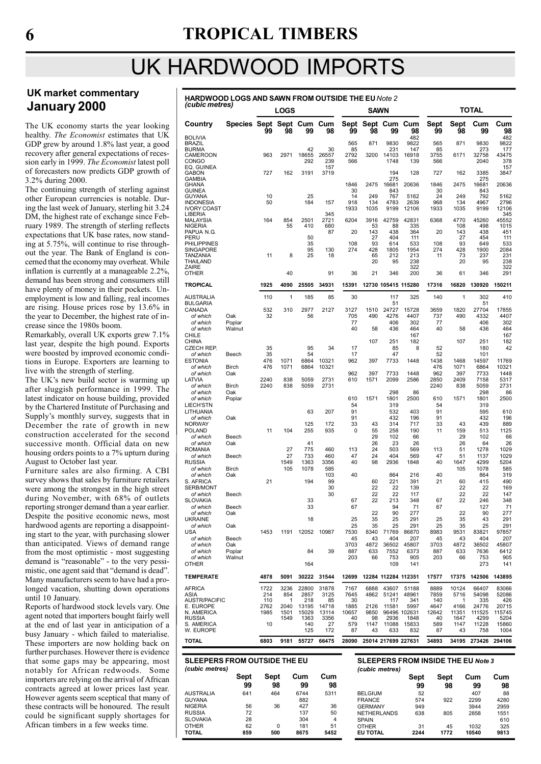# UK HARDWOOD IMPORTS

NIGERIA 56 36 427 36<br>RUSSIA 72 137 50 137 137 50<br>RUSSIA 72 137 50<br>SLOVAKIA 28 304 4 SLOVAKIA 28 304 4<br>OTHER 62 0 181 51 OTHER 62 0 181 51 TOTAL 859 500 8675 5452

#### UK market commentary January 2000

The UK economy starts the year looking healthy. The Economist estimates that UK GDP grew by around 1.8% last year, a good recovery after general expectations of recession early in 1999. The Economist latest poll of forecasters now predicts GDP growth of 3.2% during 2000.

The continuing strength of sterling against other European currencies is notable. During the last week of January, sterling hit 3.24 DM, the highest rate of exchange since February 1989. The strength of sterling reflects expectations that UK base rates, now standing at 5.75%, will continue to rise throughout the year. The Bank of England is concerned that the economy may overheat. While inflation is currently at a manageable 2.2%, demand has been strong and consumers still have plenty of money in their pockets. Unemployment is low and falling, real incomes are rising. House prices rose by 13.6% in the year to December, the highest rate of increase since the 1980s boom.

Remarkably, overall UK exports grew 7.1% last year, despite the high pound. Exports were boosted by improved economic conditions in Europe. Exporters are learning to live with the strength of sterling.

The UK's new build sector is warming up after sluggish performance in 1999. The latest indicator on house building, provided by the Chartered Institute of Purchasing and Supply's monthly survey, suggests that in December the rate of growth in new construction accelerated for the second successive month. Official data on new housing orders points to a 7% upturn during August to October last year.

Furniture sales are also firming. A CBI survey shows that sales by furniture retailers were among the strongest in the high street during November, with 68% of outlets reporting stronger demand than a year earlier. Despite the positive economic news, most hardwood agents are reporting a disappointing start to the year, with purchasing slower than anticipated. Views of demand range from the most optimistic - most suggesting demand is "reasonable" - to the very pessimistic, one agent said that "demand is dead". Many manufacturers seem to have had a prolonged vacation, shutting down operations until 10 January.

Reports of hardwood stock levels vary. One agent noted that importers bought fairly well at the end of last year in anticipation of a busy January - which failed to materialise. These importers are now holding back on further purchases. However there is evidence that some gaps may be appearing, most notably for African redwoods. Some importers are relying on the arrival of African contracts agreed at lower prices last year. However agents seem sceptical that many of these contracts will be honoured. The result could be significant supply shortages for African timbers in a few weeks time.

HARDWOOD LOGS AND SAWN FROM OUTSIDE THE EU Note 2 (cubic metres)

| $1$ . The set of $1$                                        |                         |                            | <b>LOGS</b>              |                               |                              |                             | <b>SAWN</b>                     |                            |                                      |                              |                            | TOTAL                                     |                                 |
|-------------------------------------------------------------|-------------------------|----------------------------|--------------------------|-------------------------------|------------------------------|-----------------------------|---------------------------------|----------------------------|--------------------------------------|------------------------------|----------------------------|-------------------------------------------|---------------------------------|
| Country                                                     | Species Sept Sept Cum   | 99                         | 98                       | 99                            | Cum<br>98                    | 99                          | 98                              | Sept Sept Cum Cum<br>99    | 98                                   | Sept<br>99                   | Sept<br>98                 | Cum<br>99                                 | Cum<br>98                       |
| <b>BOLIVIA</b><br><b>BRAZIL</b><br><b>BURMA</b><br>CAMEROON |                         | 963                        | 2971                     | 42<br>18655                   | 30<br>26557                  | 565<br>85<br>2792           | 871<br>3200                     | 9830<br>231<br>14103       | 482<br>9822<br>147<br>16918          | 565<br>85<br>3755            | 871<br>6171                | 9830<br>273<br>32758                      | 482<br>9822<br>177<br>43475     |
| <b>CONGO</b><br>EQ. GUINEA<br>GABON                         |                         | 727                        | 162                      | 292<br>3191                   | 239<br>157<br>3719           | 566                         |                                 | 1748<br>194                | 139<br>128                           | 566<br>727                   | 162                        | 2040<br>3385                              | 378<br>157<br>3847              |
| GAMBIA<br>GHANA<br><b>GUINEA</b>                            |                         |                            |                          |                               |                              | 1846<br>30                  | 2475                            | 275<br>16681<br>843        | 20636                                | 1846<br>30                   | 2475                       | 275<br>16681<br>843                       | 20636                           |
| GUYANA<br><b>INDONESIA</b><br><b>IVORY COAST</b>            |                         | 10<br>50                   |                          | 25<br>184                     | 157                          | 14<br>918<br>1933           | 249<br>134<br>1035              | 767<br>4783<br>9199        | 5162<br>2639<br>12106                | 24<br>968<br>1933            | 249<br>134<br>1035         | 792<br>4967<br>9199                       | 5162<br>2796<br>12106           |
| LIBERIA<br>MALAYSIA<br>NIGERIA<br>PAPUA N.G.                |                         | 164                        | 854<br>55                | 2501<br>410                   | 345<br>2721<br>680<br>87     | 6204<br>20                  | 3916<br>53<br>143               | 42759<br>88<br>438         | 42831<br>335<br>364                  | 6368<br>20                   | 4770<br>108<br>143         | 45260<br>498<br>438                       | 345<br>45552<br>1015<br>451     |
| PERU<br><b>PHILIPPINES</b><br><b>SINGAPORE</b>              |                         |                            |                          | 50<br>35<br>95                | 130                          | 108<br>274                  | 27<br>93<br>428                 | 404<br>614<br>1805         | 111<br>533<br>1954                   | 108<br>274                   | 27<br>93<br>428            | 454<br>649<br>1900                        | 111<br>533<br>2084              |
| TANZANIA<br>THAILAND<br>ZAIRE                               |                         | 11                         | 8                        | 25                            | 18                           |                             | 65<br>20                        | 212<br>95                  | 213<br>238<br>322                    | 11                           | 73<br>20                   | 237<br>95                                 | 231<br>238<br>322               |
| OTHER<br><b>TROPICAL</b>                                    |                         | 1925                       | 40<br>4090               | 25505                         | 91<br>34931                  | 36<br>15391                 | 21                              | 346<br>12730 105415 115280 | 200                                  | 36<br>17316                  | 61<br>16820                | 346<br>130920                             | 291<br>150211                   |
| AUSTRALIA                                                   |                         | 110                        | 1                        | 185                           | 85                           | 30                          |                                 | 117                        | 325                                  | 140                          | 1                          | 302                                       | 410                             |
| <b>BULGARIA</b><br>CANADA<br>of which                       | Oak                     | 532<br>32                  | 310                      | 2977<br>56                    | 2127                         | 3127<br>705                 | 1510<br>490                     | 51<br>24727<br>4276        | 15728<br>4407                        | 3659<br>737                  | 1820<br>490                | 51<br>27704<br>4332                       | 17855<br>4407                   |
| of which<br>of which                                        | Poplar<br>Walnut        |                            |                          |                               |                              | 77<br>40                    | 58                              | 406<br>436                 | 302<br>464<br>167                    | 77<br>40                     | 58                         | 406<br>436                                | 302<br>464                      |
| CHILE<br><b>CHINA</b><br><b>CZECH REP.</b>                  |                         | 35                         |                          | 95                            | 34                           | 17                          | 107                             | 251<br>85                  | 182<br>8                             | 52                           | 107                        | 251<br>180                                | 167<br>182<br>42                |
| of which<br><b>ESTONIA</b><br>of which                      | Beech<br><b>Birch</b>   | 35<br>476<br>476           | 1071<br>1071             | 54<br>6864<br>6864            | 10321<br>10321               | 17<br>962                   | 397                             | 47<br>7733                 | 1448                                 | 52<br>1438<br>476            | 1468<br>1071               | 101<br>14597<br>6864                      | 11769<br>10321                  |
| of which<br>LATVIA<br>of which                              | Oak<br><b>Birch</b>     | 2240<br>2240               | 838<br>838               | 5059<br>5059                  | 2731<br>2731                 | 962<br>610                  | 397<br>1571                     | 7733<br>2099               | 1448<br>2586                         | 962<br>2850<br>2240          | 397<br>2409<br>838         | 7733<br>7158<br>5059                      | 1448<br>5317<br>2731            |
| of which<br>of which                                        | Oak<br>Poplar           |                            |                          |                               |                              | 610                         | 1571                            | 298<br>1801                | 86<br>2500                           | 610                          | 1571                       | 298<br>1801                               | 86<br>2500                      |
| LIECH'STN<br>LITHUANIA<br>of which                          | Oak                     |                            |                          | 63                            | 207                          | 54<br>91<br>91              |                                 | 319<br>532<br>432          | 403<br>196                           | 54<br>91<br>91               |                            | 319<br>595<br>432                         | 610<br>196                      |
| <b>NORWAY</b><br><b>POLAND</b><br>of which                  | Beech                   | 11                         | 104                      | 125<br>255                    | 172<br>935                   | 33<br>0                     | 43<br>55<br>29                  | 314<br>258<br>102          | 717<br>190<br>66                     | 33<br>11                     | 43<br>159<br>29            | 439<br>513<br>102                         | 889<br>1125<br>66               |
| of which<br><b>ROMANIA</b>                                  | Oak                     |                            | 27<br>27                 | 41<br>775<br>733              | 460<br>460                   | 113<br>47                   | 26<br>24<br>24                  | 23<br>503<br>404           | 26<br>569<br>569                     | 113<br>47                    | 26<br>51<br>51             | 64<br>1278<br>1137                        | 26<br>1029                      |
| of which<br><b>RUSSIA</b><br>of which                       | Beech<br><b>Birch</b>   |                            | 1549<br>105              | 1363<br>1078                  | 3356<br>585                  | 40                          | 98                              | 2936                       | 1848                                 | 40                           | 1647<br>105                | 4299<br>1078                              | 1029<br>5204<br>585             |
| of which<br>S. AFRICA<br>SERB/MONT                          | Oak                     | 21                         |                          | 194                           | 103<br>99<br>30              | 40                          | 60<br>22                        | 864<br>221<br>22           | 216<br>391<br>139                    | 40<br>21                     | 60<br>22                   | 864<br>415<br>22                          | 319<br>490<br>169               |
| of which<br><b>SLOVAKIA</b><br>of which                     | Beech<br>Beech          |                            |                          | 33<br>33                      | 30                           | 67<br>67                    | 22<br>22                        | 22<br>213<br>94            | 117<br>348<br>71                     | 67<br>67                     | 22<br>22                   | 22<br>246<br>127                          | 147<br>348<br>71                |
| of which<br><b>UKRAINE</b><br>of which                      | Oak                     |                            |                          | 18                            |                              | 25<br>25                    | 22<br>35<br>35                  | 90<br>25<br>25             | 277<br>291                           | 25                           | 22<br>35                   | 90<br>43                                  | 277<br>291                      |
| USA<br>of which                                             | Oak<br>Beech            | 1453                       | 1191                     | 12052                         | 10987                        | 7530<br>45                  | 8340<br>43                      | 71769<br>404               | 291<br>86870<br>207                  | 25<br>8983<br>45             | 35<br>9531<br>43           | 25<br>83821<br>404                        | 291<br>97857<br>207             |
| of which<br>of which<br>of which                            | Oak<br>Poplar<br>Walnut |                            |                          | 84                            | 39                           | 3703<br>887<br>203          | 4872<br>633<br>66               | 36502<br>7552<br>753       | 45807<br>6373<br>905                 | 3703<br>887<br>203           | 4872<br>633<br>66          | 36502<br>7636<br>753                      | 45807<br>6412<br>905            |
| <b>OTHER</b><br><b>TEMPERATE</b>                            |                         | 4878                       | 5091                     | 164<br>30222                  | 31544                        | 12699                       |                                 | 109<br>12284 112284 112351 | 141                                  | 17577                        | 17375                      | 273<br>142506                             | 141<br>143895                   |
| <b>AFRICA</b>                                               |                         | 1722                       | 3236                     | 22800                         | 31878                        | 7167                        | 6888                            | 43607                      | 51188                                | 8889                         | 10124                      | 66407                                     | 83066                           |
| ASIA<br><b>AUSTR/PACIFIC</b><br>E. EUROPE<br>N. AMERICA     |                         | 214<br>110<br>2762<br>1985 | 854<br>1<br>2040<br>1501 | 2857<br>218<br>13195<br>15029 | 3125<br>85<br>14718<br>13114 | 7645<br>30<br>1885<br>10657 | 4862<br>2126<br>9850            | 51241<br>117<br>11581      | 48961<br>341<br>5997<br>96496 102631 | 7859<br>140<br>4647<br>12642 | 5716<br>1<br>4166<br>11351 | 54098<br>335<br>24776<br>111525           | 52086<br>426<br>20715<br>115745 |
| <b>RUSSIA</b><br>S. AMERICA<br>W. EUROPE                    |                         | 10                         | 1549                     | 1363<br>140<br>125            | 3356<br>27<br>172            | 40<br>579<br>87             | 98<br>1147<br>43                | 2936<br>11088<br>633       | 1848<br>15833<br>832                 | 40<br>589<br>87              | 1647<br>1147<br>43         | 4299<br>11228<br>758                      | 5204<br>15860<br>1004           |
| TOTAL                                                       |                         | 6803                       | 9181                     | 55727                         | 66475                        | 28090                       |                                 | 25014 217699 227631        |                                      | 34893                        | 34195                      | 273426                                    | 294106                          |
| <b>SLEEPERS FROM OUTSIDE THE EU</b>                         |                         |                            |                          |                               |                              |                             |                                 |                            |                                      |                              |                            | <b>SLEEPERS FROM INSIDE THE EU Note 3</b> |                                 |
| (cubic metres)                                              |                         |                            |                          |                               |                              |                             |                                 | (cubic metres)             |                                      |                              |                            |                                           |                                 |
|                                                             | Sept<br>99              | Sept                       | 98                       | Cum<br>99                     | Cum<br>98                    |                             |                                 |                            | Sept<br>99                           | Sept                         | 98                         | Cum<br>99                                 | Cum<br>98                       |
| <b>AUSTRALIA</b><br><b>GUYANA</b>                           | 641                     |                            | 464                      | 6744<br>882                   | 5311                         |                             | <b>BELGIUM</b><br><b>FRANCE</b> |                            | 52<br>574                            |                              | 922                        | 407<br>2299                               | 88<br>4280                      |

FRANCE 574 922 2299 4280 GERMANY 949 3944 2959<br>NETHERLANDS 638 805 2858 1551 NETHERLANDS 638 805 2858 1551 SPAIN 610 OTHER 31 45 1032 325

EU TOTAL 2244 1772 10540 9813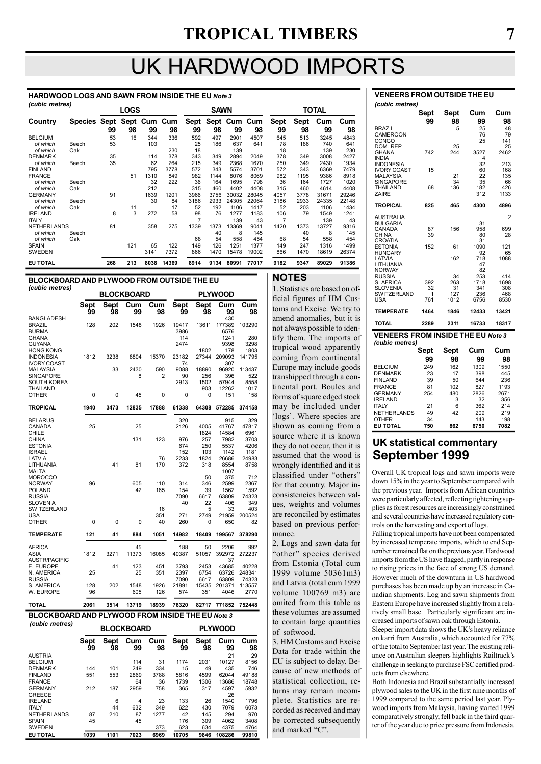# UK HARDWOOD IMPORTS

#### HARDWOOD LOGS AND SAWN FROM INSIDE THE EU Note 3 (cubic metres)

| $($ capic ilicu co $)$ |                           |     | <b>LOGS</b> |      |       |      | <b>SAWN</b>       |       |       |                |             | <b>TOTAL</b> |       |
|------------------------|---------------------------|-----|-------------|------|-------|------|-------------------|-------|-------|----------------|-------------|--------------|-------|
| Country                | Species Sept Sept Cum Cum |     |             |      |       |      | Sept Sept Cum Cum |       |       | <b>Sept</b>    | <b>Sept</b> | Cum          | Cum   |
|                        |                           | 99  | 98          | 99   | 98    | 99   | 98                | 99    | 98    | 99             | 98          | 99           | 98    |
| <b>BELGIUM</b>         |                           | 53  | 16          | 344  | 336   | 592  | 497               | 2901  | 4507  | 645            | 513         | 3245         | 4843  |
| of which               | Beech                     | 53  |             | 103  |       | 25   | 186               | 637   | 641   | 78             | 186         | 740          | 641   |
| of which               | Oak                       |     |             |      | 230   | 18   |                   | 139   |       | 18             |             | 139          | 230   |
| <b>DENMARK</b>         |                           | 35  |             | 114  | 378   | 343  | 349               | 2894  | 2049  | 378            | 349         | 3008         | 2427  |
| of which               | Beech                     | 35  |             | 62   | 264   | 215  | 349               | 2368  | 1670  | 250            | 349         | 2430         | 1934  |
| <b>FINLAND</b>         |                           |     |             | 795  | 3778  | 572  | 343               | 5574  | 3701  | 572            | 343         | 6369         | 7479  |
| <b>FRANCE</b>          |                           |     | 51          | 1310 | 849   | 982  | 1144              | 8076  | 8069  | 982            | 1195        | 9386         | 8918  |
| of which               | Beech                     |     |             | 32   | 222   | 36   | 164               | 1695  | 798   | 36             | 164         | 1727         | 1020  |
| of which               | Oak                       |     |             | 212  |       | 315  | 460               | 4402  | 4408  | 315            | 460         | 4614         | 4408  |
| <b>GERMANY</b>         |                           | 91  |             | 1639 | 1201  | 3966 | 3756              | 30032 | 28045 | 4057           | 3778        | 31671        | 29246 |
| of which               | Beech                     |     |             | 30   | 84    | 3186 | 2933              | 24305 | 22064 | 3186           | 2933        | 24335        | 22148 |
| of which               | Oak                       |     | 11          |      | 17    | 52   | 192               | 1106  | 1417  | 52             | 203         | 1106         | 1434  |
| <b>IRELAND</b>         |                           | 8   | 3           | 272  | 58    | 98   | 76                | 1277  | 1183  | 106            | 79          | 1549         | 1241  |
| <b>ITALY</b>           |                           |     |             |      |       | 7    |                   | 139   | 43    | $\overline{7}$ |             | 139          | 43    |
| <b>NETHERLANDS</b>     |                           | 81  |             | 358  | 275   | 1339 | 1373              | 13369 | 9041  | 1420           | 1373        | 13727        | 9316  |
| of which               | Beech                     |     |             |      |       |      | 40                | 8     | 145   |                | 40          | 8            | 145   |
| of which               | Oak                       |     |             |      |       | 68   | 54                | 558   | 454   | 68             | 54          | 558          | 454   |
| <b>SPAIN</b>           |                           |     | 121         | 65   | 122   | 149  | 126               | 1251  | 1377  | 149            | 247         | 1316         | 1499  |
| <b>SWEDEN</b>          |                           |     |             | 3141 | 7372  | 866  | 1470              | 15478 | 19002 | 866            | 1470        | 18619        | 26374 |
| <b>EU TOTAL</b>        |                           | 268 | 213         | 8038 | 14369 | 8914 | 9134              | 80991 | 77017 | 9182           | 9347        | 89029        | 91386 |

#### BLOCKBOARD AND PLYWOOD FROM OUTSIDE THE EU (cubic metres)

|                                      |            | <b>PLYWOOD</b><br><b>BLOCKBOARD</b> |           |           |               |               |                |                |  |  |
|--------------------------------------|------------|-------------------------------------|-----------|-----------|---------------|---------------|----------------|----------------|--|--|
|                                      | Sept<br>99 | Sept<br>98                          | Cum<br>99 | Cum<br>98 | Sept<br>99    | Sept<br>98    | Cum<br>99      | Cum<br>98      |  |  |
| <b>BANGLADESH</b>                    |            |                                     |           |           |               |               | 430            |                |  |  |
| <b>BRAZIL</b><br><b>BURMA</b>        | 128        | 202                                 | 1548      | 1926      | 19417<br>3986 | 13611         | 177389<br>6576 | 103290         |  |  |
| GHANA                                |            |                                     |           |           | 114           |               | 1241           | 280            |  |  |
| <b>GUYANA</b>                        |            |                                     |           |           | 2474          |               | 9398           | 3298           |  |  |
| <b>HONG KONG</b><br><b>INDONESIA</b> | 1812       |                                     | 8804      |           | 23182         | 1802<br>27344 | 178<br>209093  | 1803<br>141795 |  |  |
| <b>IVORY COAST</b>                   |            | 3238                                |           | 15370     | 74            |               | 307            |                |  |  |
| <b>MALAYSIA</b>                      |            | 33                                  | 2430      | 590       | 9088          | 18890         | 96920          | 113437         |  |  |
| <b>SINGAPORE</b>                     |            |                                     | 8         | 2         | 90            | 256           | 396            | 522            |  |  |
| <b>SOUTH KOREA</b>                   |            |                                     |           |           | 2913          | 1502          | 57944          | 8558           |  |  |
| THAILAND                             |            |                                     |           |           |               | 903           | 12262          | 1017           |  |  |
| <b>OTHER</b>                         | 0          | 0                                   | 45        | 0         | 0             | 0             | 151            | 158            |  |  |
| TROPICAL                             | 1940       | 3473                                | 12835     | 17888     | 61338         | 64308         | 572285         | 374158         |  |  |
| <b>BELARUS</b>                       |            |                                     |           |           | 320           |               | 915            | 329            |  |  |
| CANADA                               | 25         |                                     | 25        |           | 2126          | 4005          | 41767          | 47817          |  |  |
| CHILE                                |            |                                     |           |           |               | 1824          | 14584          | 6961           |  |  |
| <b>CHINA</b>                         |            |                                     | 131       | 123       | 976           | 257           | 7982           | 3703           |  |  |
| <b>ESTONIA</b><br><b>ISRAEL</b>      |            |                                     |           |           | 674<br>152    | 250<br>103    | 5537<br>1142   | 4206<br>1181   |  |  |
| LATVIA                               |            |                                     |           | 76        | 2233          | 1824          | 26686          | 24983          |  |  |
| LITHUANIA                            |            | 41                                  | 81        | 170       | 372           | 318           | 8554           | 8758           |  |  |
| <b>MALTA</b>                         |            |                                     |           |           |               |               | 1007           |                |  |  |
| <b>MOROCCO</b>                       |            |                                     |           |           |               | 50            | 375            | 712            |  |  |
| <b>NORWAY</b>                        | 96         |                                     | 605       | 110       | 314           | 346           | 2599           | 2367           |  |  |
| <b>POLAND</b>                        |            |                                     | 42        | 165       | 154           | 39            | 1562           | 1592           |  |  |
| <b>RUSSIA</b>                        |            |                                     |           |           | 7090          | 6617          | 63809          | 74323          |  |  |
| SLOVENIA                             |            |                                     |           |           | 40            | 22            | 406            | 349            |  |  |
| SWITZERLAND                          |            |                                     |           | 16        |               | 5             | 33             | 403            |  |  |
| USA                                  |            |                                     |           | 351       | 271           | 2749          | 21959          | 200524         |  |  |
| <b>OTHER</b>                         | 0          | 0                                   | 0         | 40        | 260           | 0             | 650            | 82             |  |  |
| <b>TEMPERATE</b>                     | 121        | 41                                  | 884       | 1051      | 14982         | 18409         | 199567         | 378290         |  |  |
| <b>AFRICA</b>                        |            |                                     | 45        |           | 188           | 50            | 2206           | 992            |  |  |
| <b>ASIA</b>                          | 1812       | 3271                                | 11373     | 16085     | 40387         | 51057         | 392972         | 272237         |  |  |
| <b>AUSTR/PACIFIC</b>                 |            |                                     |           |           |               |               | 37             |                |  |  |
| E. EUROPE                            |            | 41                                  | 123       | 451       | 3793          | 2453          | 43685          | 40228          |  |  |
| N. AMERICA                           | 25         |                                     | 25        | 351       | 2397          | 6754          | 63726          | 248341         |  |  |
| <b>RUSSIA</b>                        |            |                                     |           |           | 7090          | 6617          | 63809          | 74323          |  |  |
| S. AMERICA                           | 128        | 202                                 | 1548      | 1926      | 21891         | 15435         | 201371         | 113557         |  |  |
| W. EUROPE                            | 96         |                                     | 605       | 126       | 574           | 351           | 4046           | 2770           |  |  |
| TOTAL                                | 2061       | 3514                                | 13719     | 18939     | 76320         | 82717         | 771852         | 752448         |  |  |

#### BLOCKBOARD AND PLYWOOD FROM INSIDE THE EU Note 3

| (cubic metres)                  |            |            | <b>BLOCKBOARD</b> |           | <b>PLYWOOD</b>    |                   |           |           |  |
|---------------------------------|------------|------------|-------------------|-----------|-------------------|-------------------|-----------|-----------|--|
|                                 | Sept<br>99 | Sept<br>98 | Cum<br>99         | Cum<br>98 | <b>Sept</b><br>99 | <b>Sept</b><br>98 | Cum<br>99 | Cum<br>98 |  |
| <b>AUSTRIA</b>                  |            |            |                   |           |                   |                   | 21        | 29        |  |
| <b>BELGIUM</b>                  |            |            | 114               | 31        | 1174              | 2031              | 10127     | 8156      |  |
| <b>DENMARK</b>                  | 144        | 101        | 249               | 334       | 15                | 49                | 435       | 746       |  |
| <b>FINLAND</b>                  | 551        | 553        | 2869              | 3788      | 5816              | 4599              | 62044     | 49188     |  |
| <b>FRANCE</b>                   |            |            | 64                | 36        | 1739              | 1306              | 13686     | 18748     |  |
| <b>GERMANY</b><br><b>GREECE</b> | 212        | 187        | 2959              | 758       | 365               | 317               | 4597      | 5932      |  |
|                                 |            |            |                   |           |                   |                   | 26        |           |  |
| <b>IRELAND</b>                  |            | 6          | 4                 | 23        | 133               | 26                | 1540      | 1796      |  |
| <b>ITALY</b>                    |            | 44         | 632               | 349       | 622               | 430               | 7079      | 6073      |  |
| <b>NETHERLANDS</b>              | 87         | 210        | 87                | 1277      | 42                | 145               | 294       | 970       |  |
| <b>SPAIN</b>                    | 45         |            | 45                |           | 176               | 309               | 4062      | 3408      |  |
| <b>SWEDEN</b>                   |            |            |                   | 373       | 623               | 634               | 4375      | 4764      |  |
| <b>EU TOTAL</b>                 | 1039       | 1101       | 7023              | 6969      | 10705             | 9846              | 108286    | 99810     |  |

#### NOTES

1. Statistics are based on official figures of HM Customs and Excise. We try to amend anomalies, but it is not always possible to identify them. The imports of tropical wood apparently coming from continental Europe may include goods transhipped through a continental port. Boules and forms of square edged stock may be included under 'logs'. Where species are shown as coming from a source where it is known they do not occur, then it is assumed that the wood is wrongly identified and it is classified under "others" for that country. Major inconsistencies between values, weights and volumes are reconciled by estimates based on previous performance.

2. Logs and sawn data for "other" species derived from Estonia (Total cum 1999 volume 50361m3) and Latvia (total cum 1999 volume 100769 m3) are omited from this table as these volumes are assumed to contain large quantities of softwood.

3. HM Customs and Excise Data for trade within the EU is subject to delay. Because of new methods of statistical collection, returns may remain incomplete. Statistics are recorded as received and may be corrected subsequently and marked "C".

| (cubic metres)                                                                |                |                  |                      |                       |  |  |  |  |  |  |
|-------------------------------------------------------------------------------|----------------|------------------|----------------------|-----------------------|--|--|--|--|--|--|
|                                                                               | Sept<br>99     | Sept<br>98       | Cum<br>99            | Cum<br>98             |  |  |  |  |  |  |
| <b>BRAZIL</b><br>CAMEROON<br>CONGO                                            |                | 5                | 25<br>76<br>25       | 48<br>79<br>141       |  |  |  |  |  |  |
| DOM. REP<br><b>GHANA</b><br><b>INDIA</b>                                      | 742            | 25<br>244        | 3527<br>4            | 25<br>2462            |  |  |  |  |  |  |
| <b>INDONESIA</b><br><b>IVORY COAST</b><br><b>MALAYSIA</b><br><b>SINGAPORE</b> | 15             | 21<br>34         | 32<br>60<br>22<br>35 | 213<br>168<br>135     |  |  |  |  |  |  |
| <b>THAILAND</b><br>ZAIRE                                                      | 68             | 136              | 182<br>312           | 66<br>426<br>1133     |  |  |  |  |  |  |
| <b>TROPICAL</b>                                                               | 825            | 465              | 4300                 | 4896                  |  |  |  |  |  |  |
| AUSTRALIA<br><b>BULGARIA</b><br>CANADA                                        | 87             | 156              | 31<br>958            | $\overline{2}$<br>699 |  |  |  |  |  |  |
| CHINA<br><b>CROATIA</b>                                                       | 39             |                  | 80<br>31             | 28                    |  |  |  |  |  |  |
| <b>ESTONIA</b><br><b>HUNGARY</b><br>LATVIA                                    | 152            | 61<br>162        | 1090<br>92<br>718    | 121<br>65<br>1088     |  |  |  |  |  |  |
| LITHUANIA<br><b>NORWAY</b><br><b>RUSSIA</b>                                   |                | 34               | 47<br>82<br>253      | 414                   |  |  |  |  |  |  |
| S. AFRICA<br><b>SLOVENIA</b><br><b>SWITZERLAND</b>                            | 392<br>32<br>1 | 263<br>31<br>127 | 1718<br>341          | 1698<br>308           |  |  |  |  |  |  |
| USA                                                                           | 761            | 1012             | 236<br>6756          | 468<br>8530           |  |  |  |  |  |  |
| <b>TEMPERATE</b>                                                              | 1464           | 1846             | 12433                | 13421                 |  |  |  |  |  |  |
| <b>TOTAL</b>                                                                  | 2289           | 2311             | 16733                | 18317                 |  |  |  |  |  |  |
| <b>VENEERS FROM INSIDE THE EU Note 3</b><br>(cubic metres)                    |                |                  |                      |                       |  |  |  |  |  |  |
|                                                                               | Sept           | Sept             | Cum                  | Cum                   |  |  |  |  |  |  |

VENEERS FROM OUTSIDE THE EU

|     |      |      | Cum  |
|-----|------|------|------|
| 99  | 98   | 99   | 98   |
| 249 | 162  | 1309 | 1550 |
| 23  | 17   | 398  | 445  |
| 39  | 50   | 644  | 236  |
| 81  | 102  | 827  | 1193 |
| 254 | 480  | 2826 | 2671 |
|     | 3    | 32   | 356  |
| 21  | 6    | 362  | 214  |
| 49  | 42   | 209  | 219  |
| 34  |      | 143  | 198  |
| 750 | 862  | 6750 | 7082 |
|     | Sept | Sept | Cum  |

#### UK statistical commentary September 1999

Overall UK tropical logs and sawn imports were down 15% in the year to September compared with the previous year. Imports from African countries were particularly affected, reflecting tightening supplies as forest resources are increasingly constrained and several countries have increased regulatory controls on the harvesting and export of logs.

Falling tropical imports have not been compensated by increased temperate imports, which to end September remained flat on the previous year. Hardwood imports from the US have flagged, partly in response to rising prices in the face of strong US demand. However much of the downturn in US hardwood purchases has been made up by an increase in Canadian shipments. Log and sawn shipments from Eastern Europe have increased slightly from a relatively small base. Particularly significant are increased imports of sawn oak through Estonia.

Sleeper import data shows the UK's heavy reliance on karri from Australia, which accounted for 77% of the total to September last year. The existing reliance on Australian sleepers highlights Railtrack's challenge in seeking to purchase FSC certified products from elsewhere.

Both Indonesia and Brazil substantially increased plywood sales to the UK in the first nine months of 1999 compared to the same period last year. Plywood imports from Malaysia, having started 1999 comparatively strongly, fell back in the third quarter of the year due to price pressure from Indonesia.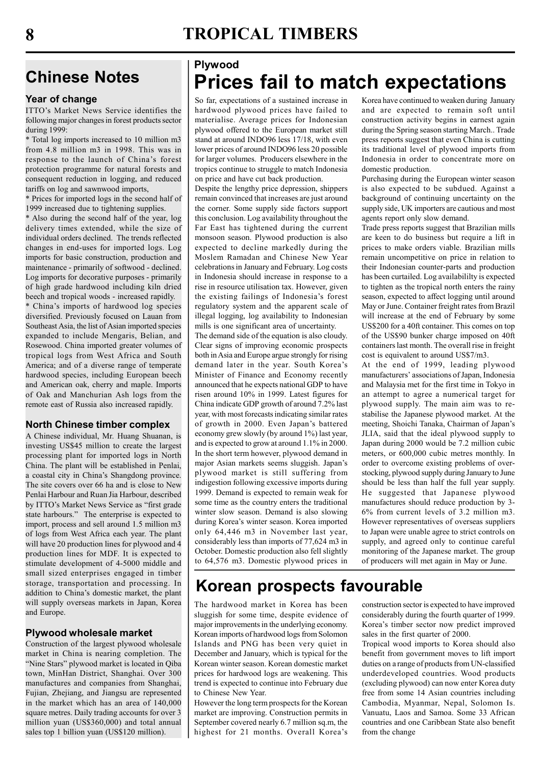#### Year of change

ITTO's Market News Service identifies the following major changes in forest products sector during 1999:

\* Total log imports increased to 10 million m3 from 4.8 million m3 in 1998. This was in response to the launch of China's forest protection programme for natural forests and consequent reduction in logging, and reduced tariffs on log and sawnwood imports,

\* Prices for imported logs in the second half of 1999 increased due to tightening supplies.

\* Also during the second half of the year, log delivery times extended, while the size of individual orders declined. The trends reflected changes in end-uses for imported logs. Log imports for basic construction, production and maintenance - primarily of softwood - declined. Log imports for decorative purposes - primarily of high grade hardwood including kiln dried beech and tropical woods - increased rapidly. \* China's imports of hardwood log species diversified. Previously focused on Lauan from Southeast Asia, the list of Asian imported species expanded to include Mengaris, Belian, and Rosewood. China imported greater volumes of tropical logs from West Africa and South America; and of a diverse range of temperate hardwood species, including European beech and American oak, cherry and maple. Imports of Oak and Manchurian Ash logs from the remote east of Russia also increased rapidly.

#### North Chinese timber complex

A Chinese individual, Mr. Huang Shuanan, is investing US\$45 million to create the largest processing plant for imported logs in North China. The plant will be established in Penlai, a coastal city in China's Shangdong province. The site covers over 66 ha and is close to New Penlai Harbour and Ruan Jia Harbour, described by ITTO's Market News Service as "first grade state harbours." The enterprise is expected to import, process and sell around 1.5 million m3 of logs from West Africa each year. The plant will have 20 production lines for plywood and 4 production lines for MDF. It is expected to stimulate development of 4-5000 middle and small sized enterprises engaged in timber storage, transportation and processing. In addition to China's domestic market, the plant will supply overseas markets in Japan, Korea and Europe.

#### Plywood wholesale market

Construction of the largest plywood wholesale market in China is nearing completion. The "Nine Stars" plywood market is located in Qiba town, MinHan District, Shanghai. Over 300 manufactures and companies from Shanghai, Fujian, Zhejiang, and Jiangsu are represented in the market which has an area of 140,000 square metres. Daily trading accounts for over 3 million yuan (US\$360,000) and total annual sales top 1 billion yuan (US\$120 million).

# Plywood Chinese Notes | Prices fail to match expectations

So far, expectations of a sustained increase in hardwood plywood prices have failed to materialise. Average prices for Indonesian plywood offered to the European market still stand at around INDO96 less 17/18, with even lower prices of around INDO96 less 20 possible for larger volumes. Producers elsewhere in the tropics continue to struggle to match Indonesia on price and have cut back production.

Despite the lengthy price depression, shippers remain convinced that increases are just around the corner. Some supply side factors support this conclusion. Log availability throughout the Far East has tightened during the current monsoon season. Plywood production is also expected to decline markedly during the Moslem Ramadan and Chinese New Year celebrations in January and February. Log costs in Indonesia should increase in response to a rise in resource utilisation tax. However, given the existing failings of Indonesia's forest regulatory system and the apparent scale of illegal logging, log availability to Indonesian mills is one significant area of uncertainty.

The demand side of the equation is also cloudy. Clear signs of improving economic prospects both in Asia and Europe argue strongly for rising demand later in the year. South Korea's Minister of Finance and Economy recently announced that he expects national GDP to have risen around 10% in 1999. Latest figures for China indicate GDP growth of around 7.2% last year, with most forecasts indicating similar rates of growth in 2000. Even Japan's battered economy grew slowly (by around 1%) last year, and is expected to grow at around 1.1% in 2000. In the short term however, plywood demand in major Asian markets seems sluggish. Japan's plywood market is still suffering from indigestion following excessive imports during 1999. Demand is expected to remain weak for some time as the country enters the traditional winter slow season. Demand is also slowing during Korea's winter season. Korea imported only 64,446 m3 in November last year, considerably less than imports of 77,624 m3 in October. Domestic production also fell slightly to 64,576 m3. Domestic plywood prices in

Korea have continued to weaken during January and are expected to remain soft until construction activity begins in earnest again during the Spring season starting March.. Trade press reports suggest that even China is cutting its traditional level of plywood imports from Indonesia in order to concentrate more on domestic production.

Purchasing during the European winter season is also expected to be subdued. Against a background of continuing uncertainty on the supply side, UK importers are cautious and most agents report only slow demand.

Trade press reports suggest that Brazilian mills are keen to do business but require a lift in prices to make orders viable. Brazilian mills remain uncompetitive on price in relation to their Indonesian counter-parts and production has been curtailed. Log availabililty is expected to tighten as the tropical north enters the rainy season, expected to affect logging until around May or June. Container freight rates from Brazil will increase at the end of February by some US\$200 for a 40ft container. This comes on top of the US\$90 bunker charge imposed on 40ft containers last month. The overall rise in freight cost is equivalent to around US\$7/m3.

At the end of 1999, leading plywood manufacturers' associations of Japan, Indonesia and Malaysia met for the first time in Tokyo in an attempt to agree a numerical target for plywood supply. The main aim was to restabilise the Japanese plywood market. At the meeting, Shoichi Tanaka, Chairman of Japan's JLIA, said that the ideal plywood supply to Japan during 2000 would be 7.2 million cubic meters, or 600,000 cubic metres monthly. In order to overcome existing problems of overstocking, plywood supply during January to June should be less than half the full year supply. He suggested that Japanese plywood manufactures should reduce production by 3- 6% from current levels of 3.2 million m3. However representatives of overseas suppliers to Japan were unable agree to strict controls on supply, and agreed only to continue careful monitoring of the Japanese market. The group of producers will met again in May or June.

# Korean prospects favourable

The hardwood market in Korea has been sluggish for some time, despite evidence of major improvements in the underlying economy. Korean imports of hardwood logs from Solomon Islands and PNG has been very quiet in December and January, which is typical for the Korean winter season. Korean domestic market prices for hardwood logs are weakening. This trend is expected to continue into February due to Chinese New Year.

However the long term prospects for the Korean market are improving. Construction permits in September covered nearly 6.7 million sq.m, the highest for 21 months. Overall Korea's

construction sector is expected to have improved considerably during the fourth quarter of 1999. Korea's timber sector now predict improved sales in the first quarter of 2000.

Tropical wood imports to Korea should also benefit from government moves to lift import duties on a range of products from UN-classified underdeveloped countries. Wood products (excluding plywood) can now enter Korea duty free from some 14 Asian countries including Cambodia, Myanmar, Nepal, Solomon Is. Vanuatu, Laos and Samoa. Some 33 African countries and one Caribbean State also benefit from the change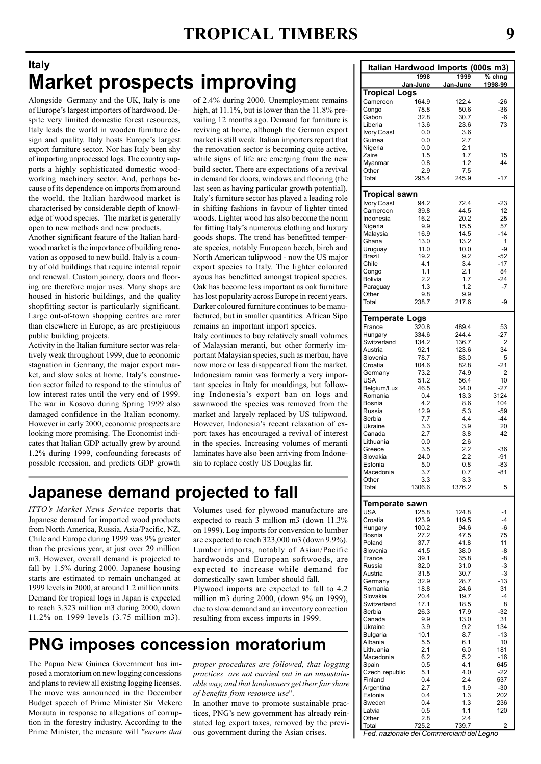# Italy Market prospects improving

Alongside Germany and the UK, Italy is one of Europe's largest importers of hardwood. Despite very limited domestic forest resources, Italy leads the world in wooden furniture design and quality. Italy hosts Europe's largest export furniture sector. Nor has Italy been shy of importing unprocessed logs. The country supports a highly sophisticated domestic woodworking machinery sector. And, perhaps because of its dependence on imports from around the world, the Italian hardwood market is characterised by considerable depth of knowledge of wood species. The market is generally open to new methods and new products.

Another significant feature of the Italian hardwood market is the importance of building renovation as opposed to new build. Italy is a country of old buildings that require internal repair and renewal. Custom joinery, doors and flooring are therefore major uses. Many shops are housed in historic buildings, and the quality shopfitting sector is particularly significant. Large out-of-town shopping centres are rarer than elsewhere in Europe, as are prestigiuous public building projects.

Activity in the Italian furniture sector was relatively weak throughout 1999, due to economic stagnation in Germany, the major export market, and slow sales at home. Italy's construction sector failed to respond to the stimulus of low interest rates until the very end of 1999. The war in Kosovo during Spring 1999 also damaged confidence in the Italian economy. However in early 2000, economic prospects are looking more promising. The Economist indicates that Italian GDP actually grew by around 1.2% during 1999, confounding forecasts of possible recession, and predicts GDP growth

of 2.4% during 2000. Unemployment remains high, at 11.1%, but is lower than the 11.8% prevailing 12 months ago. Demand for furniture is reviving at home, although the German export market is still weak. Italian importers report that the renovation sector is becoming quite active, while signs of life are emerging from the new build sector. There are expectations of a revival in demand for doors, windows and flooring (the last seen as having particular growth potential). Italy's furniture sector has played a leading role in shifting fashions in favour of lighter tinted woods. Lighter wood has also become the norm for fitting Italy's numerous clothing and luxury goods shops. The trend has benefitted temperate species, notably European beech, birch and North American tulipwood - now the US major export species to Italy. The lighter coloured ayous has benefitted amongst tropical species. Oak has become less important as oak furniture has lost popularity across Europe in recent years. Darker coloured furniture continues to be manufactured, but in smaller quantities. African Sipo remains an important import species.

Italy continues to buy relatively small volumes of Malaysian meranti, but other formerly important Malaysian species, such as merbau, have now more or less disappeared from the market. Indonesiam ramin was formerly a very important species in Italy for mouldings, but following Indonesia's export ban on logs and sawnwood the species was removed from the market and largely replaced by US tulipwood. However, Indonesia's recent relaxation of export taxes has encouraged a revival of interest in the species. Increasing volumes of meranti laminates have also been arriving from Indonesia to replace costly US Douglas fir.

# Japanese demand projected to fall

ITTO's Market News Service reports that Japanese demand for imported wood products from North America, Russia, Asia/Pacific, NZ, Chile and Europe during 1999 was 9% greater than the previous year, at just over 29 million m3. However, overall demand is projected to fall by 1.5% during 2000. Japanese housing starts are estimated to remain unchanged at 1999 levels in 2000, at around 1.2 million units. Demand for tropical logs in Japan is expected to reach 3.323 million m3 during 2000, down 11.2% on 1999 levels (3.75 million m3).

Volumes used for plywood manufacture are expected to reach 3 million m3 (down 11.3% on 1999). Log imports for conversion to lumber are expected to reach 323,000 m3 (down 9.9%). Lumber imports, notably of Asian/Pacific hardwoods and European softwoods, are expected to increase while demand for domestically sawn lumber should fall. Plywood imports are expected to fall to 4.2

million m3 during 2000, (down 9% on 1999), due to slow demand and an inventory correction resulting from excess imports in 1999.

# PNG imposes concession moratorium

The Papua New Guinea Government has imposed a moratorium on new logging concessions and plans to review all existing logging licenses. The move was announced in the December Budget speech of Prime Minister Sir Mekere Morauta in response to allegations of corruption in the forestry industry. According to the Prime Minister, the measure will "ensure that

proper procedures are followed, that logging practices are not carried out in an unsustainable way, and that landowners get their fair share of benefits from resource use".

In another move to promote sustainable practices, PNG's new government has already reinstated log export taxes, removed by the previous government during the Asian crises.

| Italian Hardwood Imports (000s m3)  |                 |                 |               |  |  |  |
|-------------------------------------|-----------------|-----------------|---------------|--|--|--|
|                                     | 1998            | 1999            | $%$ chng      |  |  |  |
|                                     | <u>Jan-June</u> | <u>Jan-June</u> | 1998-99       |  |  |  |
| Tropical Logs                       |                 |                 |               |  |  |  |
| Cameroon                            | 164.9           | 122.4           | $-26$         |  |  |  |
| Congo<br>Gabon                      | 78.8<br>32.8    | 50.6<br>30.7    | $-36$<br>$-6$ |  |  |  |
| Liberia                             | 13.6            | 23.6            | 73            |  |  |  |
| Ivory Coast                         | 0.0             | 3.6             |               |  |  |  |
| Guinea                              | 0.0             | 2.7             |               |  |  |  |
| Nigeria<br>Zaire                    | 0.0<br>1.5      | 2.1<br>1.7      | 15            |  |  |  |
| Myanmar                             | 0.8             | 1.2             | 44            |  |  |  |
| Other                               | 2.9             | 7.5             |               |  |  |  |
| Total                               | 295.4           | 245.9           | $-17$         |  |  |  |
|                                     |                 |                 |               |  |  |  |
| <b>Tropical sawn</b><br>Ivory Coast | 94.2            | 72.4            | $-23$         |  |  |  |
| Cameroon                            | 39.8            | 44.5            | 12            |  |  |  |
| Indonesia                           | 16.2            | 20.2            | 25            |  |  |  |
| Nigeria                             | 9.9             | 15.5            | 57            |  |  |  |
| Malaysia                            | 16.9            | 14.5            | $-14$<br>1    |  |  |  |
| Ghana<br>Uruguay                    | 13.0<br>11.0    | 13.2<br>10.0    | -9            |  |  |  |
| Brazil                              | 19.2            | 9.2             | $-52$         |  |  |  |
| Chile                               | 4.1             | 3.4             | $-17$         |  |  |  |
| Congo                               | 1.1             | 2.1             | 84            |  |  |  |
| Bolivia<br>Paraguay                 | 2.2<br>1.3      | 1.7<br>1.2      | -24<br>-7     |  |  |  |
| Other                               | 9.8             | 9.9             |               |  |  |  |
| Total                               | 238.7           | 217.6           | -9            |  |  |  |
|                                     |                 |                 |               |  |  |  |
| <b>Temperate Logs</b><br>France     | 320.8           | 489.4           |               |  |  |  |
| Hungary                             | 334.6           | 244.4           | 53<br>-27     |  |  |  |
| Switzerland                         | 134.2           | 136.7           | 2             |  |  |  |
| Austria                             | 92.1            | 123.6           | 34            |  |  |  |
| Slovenia                            | 78.7            | 83.0            | 5             |  |  |  |
| Croatia<br>Germany                  | 104.6<br>73.2   | 82.8<br>74.9    | $-21$<br>2    |  |  |  |
| <b>USA</b>                          | 51.2            | 56.4            | 10            |  |  |  |
| Belgium/Lux                         | 46.5            | 34.0            | -27           |  |  |  |
| Romania                             | 0.4             | 13.3            | 3124          |  |  |  |
| Bosnia<br>Russia                    | 4.2<br>12.9     | 8.6<br>5.3      | 104<br>$-59$  |  |  |  |
| Serbia                              | 7.7             | 4.4             | $-44$         |  |  |  |
| Ukraine                             | 3.3             | 3.9             | 20            |  |  |  |
| Canada                              | 2.7             | 3.8             | 42            |  |  |  |
| Lithuania<br>Greece                 | 0.0<br>3.5      | 2.6<br>2.2      | $-36$         |  |  |  |
| Slovakia                            | 24.0            | 2.2             | $-91$         |  |  |  |
| Estonia                             | 5.0             | 0.8             | $-83$         |  |  |  |
| Macedonia                           | 3.7             | 0.7             | -81           |  |  |  |
| Other<br>Total                      | 3.3<br>1306.6   | 3.3<br>1376.2   | 5             |  |  |  |
|                                     |                 |                 |               |  |  |  |
| Temperate sawn                      |                 |                 |               |  |  |  |
| <b>USA</b>                          | 125.8           | 124.8           | -1            |  |  |  |
| Croatia                             | 123.9<br>100.2  | 119.5<br>94.6   | $-4$<br>-6    |  |  |  |
| Hungary<br>Bosnia                   | 27.2            | 47.5            | 75            |  |  |  |
| Poland                              | 37.7            | 41.8            | 11            |  |  |  |
| Slovenia                            | 41.5            | 38.0            | -8            |  |  |  |
| France                              | 39.1            | 35.8            | -8            |  |  |  |
| Russia<br>Austria                   | 32.0<br>31.5    | 31.0<br>30.7    | -3<br>-3      |  |  |  |
| Germany                             | 32.9            | 28.7            | $-13$         |  |  |  |
| Romania                             | 18.8            | 24.6            | 31            |  |  |  |
| Slovakia                            | 20.4            | 19.7            | -4            |  |  |  |
| Switzerland<br>Serbia               | 17.1<br>26.3    | 18.5<br>17.9    | 8<br>$-32$    |  |  |  |
| Canada                              | 9.9             | 13.0            | 31            |  |  |  |
| Ukraine                             | 3.9             | 9.2             | 134           |  |  |  |
| Bulgaria                            | 10.1            | 8.7             | $-13$         |  |  |  |
| Albania<br>Lithuania                | 5.5<br>2.1      | 6.1<br>6.0      | 10<br>181     |  |  |  |
| Macedonia                           | 6.2             | 5.2             | $-16$         |  |  |  |
| Spain                               | 0.5             | 4.1             | 645           |  |  |  |
| Czech republic                      | 5.1             | 4.0             | $-22$         |  |  |  |
| Finland                             | 0.4<br>2.7      | 2.4<br>1.9      | 537<br>$-30$  |  |  |  |
| Argentina<br>Estonia                | 0.4             | 1.3             | 202           |  |  |  |
| Sweden                              | 0.4             | 1.3             | 236           |  |  |  |
| Latvia                              | 0.5             | 1.1             | 120           |  |  |  |
| Other<br>Total                      | 2.8<br>725.2    | 2.4<br>739.7    | 2             |  |  |  |

Fed. nazionale dei Commercianti del Legno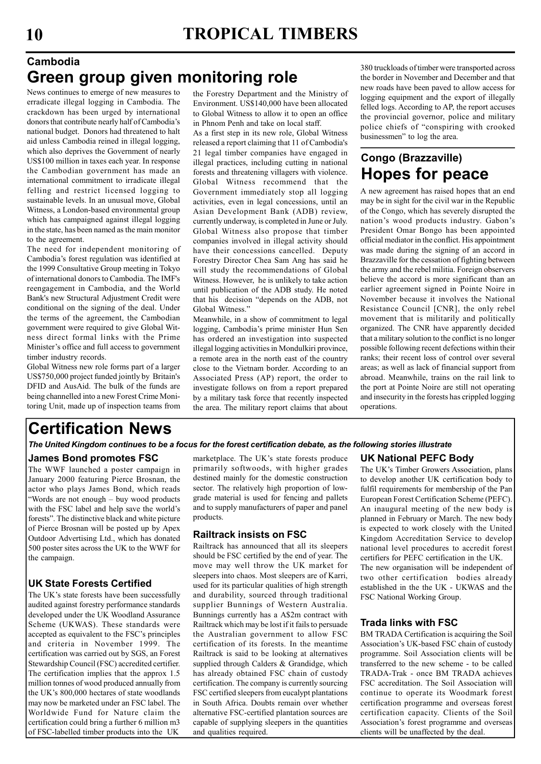### Cambodia Green group given monitoring role

News continues to emerge of new measures to erradicate illegal logging in Cambodia. The crackdown has been urged by international donors that contribute nearly half of Cambodia's national budget. Donors had threatened to halt aid unless Cambodia reined in illegal logging, which also deprives the Government of nearly US\$100 million in taxes each year. In response the Cambodian government has made an international commitment to irradicate illegal felling and restrict licensed logging to sustainable levels. In an unusual move, Global Witness, a London-based environmental group which has campaigned against illegal logging in the state, has been named as the main monitor to the agreement.

The need for independent monitoring of Cambodia's forest regulation was identified at the 1999 Consultative Group meeting in Tokyo of international donors to Cambodia. The IMF's reengagement in Cambodia, and the World Bank's new Structural Adjustment Credit were conditional on the signing of the deal. Under the terms of the agreement, the Cambodian government were required to give Global Witness direct formal links with the Prime Minister's office and full access to government timber industry records.

Global Witness new role forms part of a larger US\$750,000 project funded jointly by Britain's DFID and AusAid. The bulk of the funds are being channelled into a new Forest Crime Monitoring Unit, made up of inspection teams from

the Forestry Department and the Ministry of Environment. US\$140,000 have been allocated to Global Witness to allow it to open an office in Phnom Penh and take on local staff.

As a first step in its new role, Global Witness released a report claiming that 11 of Cambodia's 21 legal timber companies have engaged in illegal practices, including cutting in national forests and threatening villagers with violence. Global Witness recommend that the Government immediately stop all logging activities, even in legal concessions, until an Asian Development Bank (ADB) review, currently underway, is completed in June or July. Global Witness also propose that timber companies involved in illegal activity should have their concessions cancelled. Deputy Forestry Director Chea Sam Ang has said he will study the recommendations of Global Witness. However, he is unlikely to take action until publication of the ADB study. He noted that his decision "depends on the ADB, not Global Witness."

Meanwhile, in a show of commitment to legal logging, Cambodia's prime minister Hun Sen has ordered an investigation into suspected illegal logging activities in Mondulkiri province, a remote area in the north east of the country close to the Vietnam border. According to an Associated Press (AP) report, the order to investigate follows on from a report prepared by a military task force that recently inspected the area. The military report claims that about

380 truckloads of timber were transported across the border in November and December and that new roads have been paved to allow access for logging equipment and the export of illegally felled logs. According to AP, the report accuses the provincial governor, police and military police chiefs of "conspiring with crooked businessmen" to log the area.

### Congo (Brazzaville) Hopes for peace

A new agreement has raised hopes that an end may be in sight for the civil war in the Republic of the Congo, which has severely disrupted the nation's wood products industry. Gabon's President Omar Bongo has been appointed official mediator in the conflict. His appointment was made during the signing of an accord in Brazzaville for the cessation of fighting between the army and the rebel militia. Foreign observers believe the accord is more significant than an earlier agreement signed in Pointe Noire in November because it involves the National Resistance Council [CNR], the only rebel movement that is militarily and politically organized. The CNR have apparently decided that a military solution to the conflict is no longer possible following recent defections within their ranks; their recent loss of control over several areas; as well as lack of financial support from abroad. Meanwhile, trains on the rail link to the port at Pointe Noire are still not operating and insecurity in the forests has crippled logging operations.

# Certification News

The United Kingdom continues to be a focus for the forest certification debate, as the following stories illustrate

#### James Bond promotes FSC

The WWF launched a poster campaign in January 2000 featuring Pierce Brosnan, the actor who plays James Bond, which reads "Words are not enough – buy wood products with the FSC label and help save the world's forests". The distinctive black and white picture of Pierce Brosnan will be posted up by Apex Outdoor Advertising Ltd., which has donated 500 poster sites across the UK to the WWF for the campaign.

#### UK State Forests Certified

The UK's state forests have been successfully audited against forestry performance standards developed under the UK Woodland Assurance Scheme (UKWAS). These standards were accepted as equivalent to the FSC's principles and criteria in November 1999. The certification was carried out by SGS, an Forest Stewardship Council (FSC) accredited certifier. The certification implies that the approx 1.5 million tonnes of wood produced annually from the UK's 800,000 hectares of state woodlands may now be marketed under an FSC label. The Worldwide Fund for Nature claim the certification could bring a further 6 million m3 of FSC-labelled timber products into the UK

marketplace. The UK's state forests produce primarily softwoods, with higher grades destined mainly for the domestic construction sector. The relatively high proportion of lowgrade material is used for fencing and pallets and to supply manufacturers of paper and panel products.

#### Railtrack insists on FSC

Railtrack has announced that all its sleepers should be FSC certified by the end of year. The move may well throw the UK market for sleepers into chaos. Most sleepers are of Karri, used for its particular qualities of high strength and durability, sourced through traditional supplier Bunnings of Western Australia. Bunnings currently has a A\$2m contract with Railtrack which may be lost if it fails to persuade the Australian government to allow FSC certification of its forests. In the meantime Railtrack is said to be looking at alternatives supplied through Calders & Grandidge, which has already obtained FSC chain of custody certification. The company is currently sourcing FSC certified sleepers from eucalypt plantations in South Africa. Doubts remain over whether alternative FSC-certified plantation sources are capable of supplying sleepers in the quantities and qualities required.

#### UK National PEFC Body

The UK's Timber Growers Association, plans to develop another UK certification body to fulfil requirements for membership of the Pan European Forest Certification Scheme (PEFC). An inaugural meeting of the new body is planned in February or March. The new body is expected to work closely with the United Kingdom Accreditation Service to develop national level procedures to accredit forest certifiers for PEFC certification in the UK. The new organisation will be independent of two other certification bodies already established in the the UK - UKWAS and the FSC National Working Group.

#### Trada links with FSC

BM TRADA Certification is acquiring the Soil Association's UK-based FSC chain of custody programme. Soil Association clients will be transferred to the new scheme - to be called TRADA-Trak - once BM TRADA achieves FSC accreditation. The Soil Association will continue to operate its Woodmark forest certification programme and overseas forest certification capacity. Clients of the Soil Association's forest programme and overseas clients will be unaffected by the deal.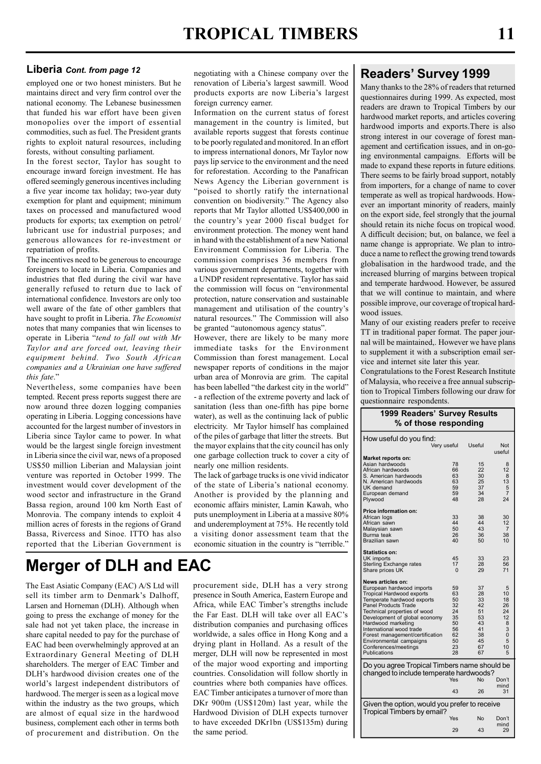#### Liberia Cont. from page 12

employed one or two honest ministers. But he maintains direct and very firm control over the national economy. The Lebanese businessmen that funded his war effort have been given monopolies over the import of essential commodities, such as fuel. The President grants rights to exploit natural resources, including forests, without consulting parliament.

In the forest sector, Taylor has sought to encourage inward foreign investment. He has offered seemingly generous incentives including a five year income tax holiday; two-year duty exemption for plant and equipment; minimum taxes on processed and manufactured wood products for exports; tax exemption on petrol/ lubricant use for industrial purposes; and generous allowances for re-investment or repatriation of profits.

The incentives need to be generous to encourage foreigners to locate in Liberia. Companies and industries that fled during the civil war have generally refused to return due to lack of international confidence. Investors are only too well aware of the fate of other gamblers that have sought to profit in Liberia. The Economist notes that many companies that win licenses to operate in Liberia "tend to fall out with Mr Taylor and are forced out, leaving their equipment behind. Two South African companies and a Ukrainian one have suffered this fate."

Nevertheless, some companies have been tempted. Recent press reports suggest there are now around three dozen logging companies operating in Liberia. Logging concessions have accounted for the largest number of investors in Liberia since Taylor came to power. In what would be the largest single foreign investment in Liberia since the civil war, news of a proposed US\$50 million Liberian and Malaysian joint venture was reported in October 1999. The investment would cover development of the wood sector and infrastructure in the Grand Bassa region, around 100 km North East of Monrovia. The company intends to exploit 4 million acres of forests in the regions of Grand Bassa, Rivercess and Sinoe. ITTO has also reported that the Liberian Government is

# Merger of DLH and EAC

The East Asiatic Company (EAC) A/S Ltd will sell its timber arm to Denmark's Dalhoff, Larsen and Horneman (DLH). Although when going to press the exchange of money for the sale had not yet taken place, the increase in share capital needed to pay for the purchase of EAC had been overwhelmingly approved at an Extraordinary General Meeting of DLH shareholders. The merger of EAC Timber and DLH's hardwood division creates one of the world's largest independent distributors of hardwood. The merger is seen as a logical move within the industry as the two groups, which are almost of equal size in the hardwood business, complement each other in terms both of procurement and distribution. On the negotiating with a Chinese company over the renovation of Liberia's largest sawmill. Wood products exports are now Liberia's largest foreign currency earner.

Information on the current status of forest management in the country is limited, but available reports suggest that forests continue to be poorly regulated and monitored. In an effort to impress international donors, Mr Taylor now pays lip service to the environment and the need for reforestation. According to the Panafrican News Agency the Liberian government is "poised to shortly ratify the international convention on biodiversity." The Agency also reports that Mr Taylor allotted US\$400,000 in the country's year 2000 fiscal budget for environment protection. The money went hand in hand with the establishment of a new National Environment Commission for Liberia. The commission comprises 36 members from various government departments, together with a UNDP resident representative. Taylor has said the commission will focus on "environmental protection, nature conservation and sustainable management and utilisation of the country's natural resources." The Commission will also be granted "autonomous agency status".

However, there are likely to be many more immediate tasks for the Environment Commission than forest management. Local newspaper reports of conditions in the major urban area of Monrovia are grim. The capital has been labelled "the darkest city in the world" - a reflection of the extreme poverty and lack of sanitation (less than one-fifth has pipe borne water), as well as the continuing lack of public electricity. Mr Taylor himself has complained of the piles of garbage that litter the streets. But the mayor explains that the city council has only one garbage collection truck to cover a city of nearly one million residents.

The lack of garbage trucks is one vivid indicator of the state of Liberia's national economy. Another is provided by the planning and economic affairs minister, Lamin Kawah, who puts unemployment in Liberia at a massive 80% and underemployment at 75%. He recently told a visiting donor assessment team that the economic situation in the country is "terrible."

procurement side, DLH has a very strong presence in South America, Eastern Europe and Africa, while EAC Timber's strengths include the Far East. DLH will take over all EAC's distribution companies and purchasing offices worldwide, a sales office in Hong Kong and a drying plant in Holland. As a result of the merger, DLH will now be represented in most of the major wood exporting and importing countries. Consolidation will follow shortly in countries where both companies have offices. EAC Timber anticipates a turnover of more than DKr 900m (US\$120m) last year, while the Hardwood Division of DLH expects turnover to have exceeded DKr1bn (US\$135m) during the same period.

#### Readers' Survey 1999

Many thanks to the 28% of readers that returned questionnaires during 1999. As expected, most readers are drawn to Tropical Timbers by our hardwood market reports, and articles covering hardwood imports and exports.There is also strong interest in our coverage of forest management and certification issues, and in on-going environmental campaigns. Efforts will be made to expand these reports in future editions. There seems to be fairly broad support, notably from importers, for a change of name to cover temperate as well as tropical hardwoods. However an important minority of readers, mainly on the export side, feel strongly that the journal should retain its niche focus on tropical wood. A difficult decision; but, on balance, we feel a name change is appropriate. We plan to introduce a name to reflect the growing trend towards globalisation in the hardwood trade, and the increased blurring of margins between tropical and temperate hardwood. However, be assured that we will continue to maintain, and where possible improve, our coverage of tropical hardwood issues.

Many of our existing readers prefer to receive TT in traditional paper format. The paper journal will be maintained,. However we have plans to supplement it with a subscription email service and internet site later this year.

Congratulations to the Forest Research Institute of Malaysia, who receive a free annual subscription to Tropical Timbers following our draw for questionnaire respondents.

1999 Readers' Survey Results

| $\%$ of those responding                                   |             |          |                |  |  |
|------------------------------------------------------------|-------------|----------|----------------|--|--|
| How useful do you find:                                    |             |          |                |  |  |
|                                                            | Very useful | Useful   | Not<br>useful  |  |  |
| <b>Market reports on:</b>                                  |             |          |                |  |  |
| Asian hardwoods                                            | 78          | 15       | 8              |  |  |
| African hardwoods                                          | 66          | 22       | 12             |  |  |
| S. American hardwoods                                      | 63          | 30       | 8              |  |  |
| N. American hardwoods                                      | 63          | 25       | 13             |  |  |
| UK demand                                                  | 59          | 37       | 5              |  |  |
| European demand                                            | 59          | 34       | 7              |  |  |
| Plywood                                                    | 48          | 28       | 24             |  |  |
| <b>Price information on:</b>                               |             |          |                |  |  |
| African logs                                               | 33          | 38       | 30             |  |  |
| African sawn                                               | 44          | 44       | 12             |  |  |
| Malaysian sawn                                             | 50          | 43       | $\overline{7}$ |  |  |
| Burma teak                                                 | 26          | 36       | 38             |  |  |
| Brazilian sawn                                             | 40          | 50       | 10             |  |  |
| <b>Statistics on:</b>                                      |             |          |                |  |  |
| UK imports                                                 | 45          | 33       | 23             |  |  |
| Sterling Exchange rates                                    | 17          | 28       | 56             |  |  |
| Share prices UK                                            | $\Omega$    | 29       | 71             |  |  |
|                                                            |             |          |                |  |  |
| News articles on:                                          |             |          |                |  |  |
| European hardwood imports                                  | 59          | 37       | 5              |  |  |
| Tropical Hardwood exports                                  | 63          | 28       | 10             |  |  |
| Temperate hardwood exports                                 | 50          | 33       | 18             |  |  |
| Panel Products Trade                                       | 32          | 42       | 26             |  |  |
| Technical properties of wood                               | 24          | 51       | 24             |  |  |
| Development of global economy                              | 35          | 53       | 12             |  |  |
| Hardwood marketing                                         | 50          | 43       | 8              |  |  |
| International wood trade                                   | 56<br>62    | 41<br>38 | 3<br>$\Omega$  |  |  |
| Forest management/certification<br>Environmental campaigns | 50          | 45       | 5              |  |  |
| Conferences/meetings                                       | 23          | 67       | 10             |  |  |
| Publications                                               | 28          | 67       | 5              |  |  |
| Do you agree Tropical Timbers name should be               |             |          |                |  |  |
| changed to include temperate hardwoods?                    |             |          |                |  |  |
|                                                            | Yes         | No       | Don't          |  |  |
|                                                            |             |          | mind           |  |  |
|                                                            | 43          | 26       | 31             |  |  |
| Given the option, would you prefer to receive              |             |          |                |  |  |
| Tropical Timbers by email?                                 | Yes         | No       | Don't          |  |  |
|                                                            |             |          | mind           |  |  |
|                                                            | 29          | 43       | 29             |  |  |